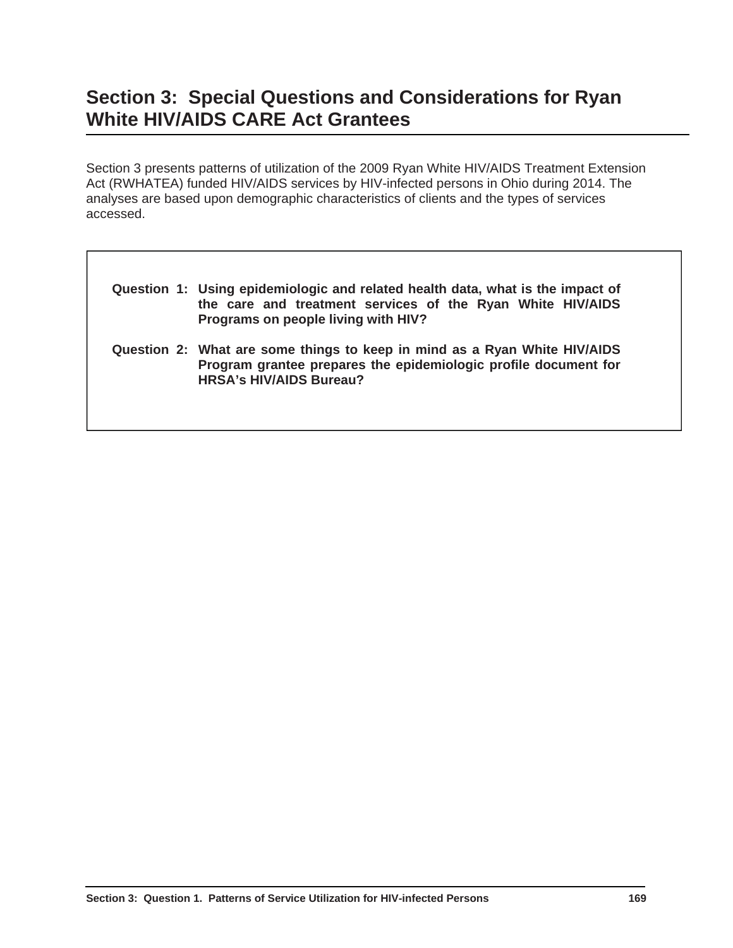# **Section 3: Special Questions and Considerations for Ryan White HIV/AIDS CARE Act Grantees**

Section 3 presents patterns of utilization of the 2009 Ryan White HIV/AIDS Treatment Extension Act (RWHATEA) funded HIV/AIDS services by HIV-infected persons in Ohio during 2014. The analyses are based upon demographic characteristics of clients and the types of services accessed.

- **Question 1: Using epidemiologic and related health data, what is the impact of the care and treatment services of the Ryan White HIV/AIDS Programs on people living with HIV?**
- **Question 2: What are some things to keep in mind as a Ryan White HIV/AIDS Program grantee prepares the epidemiologic profile document for HRSA's HIV/AIDS Bureau?**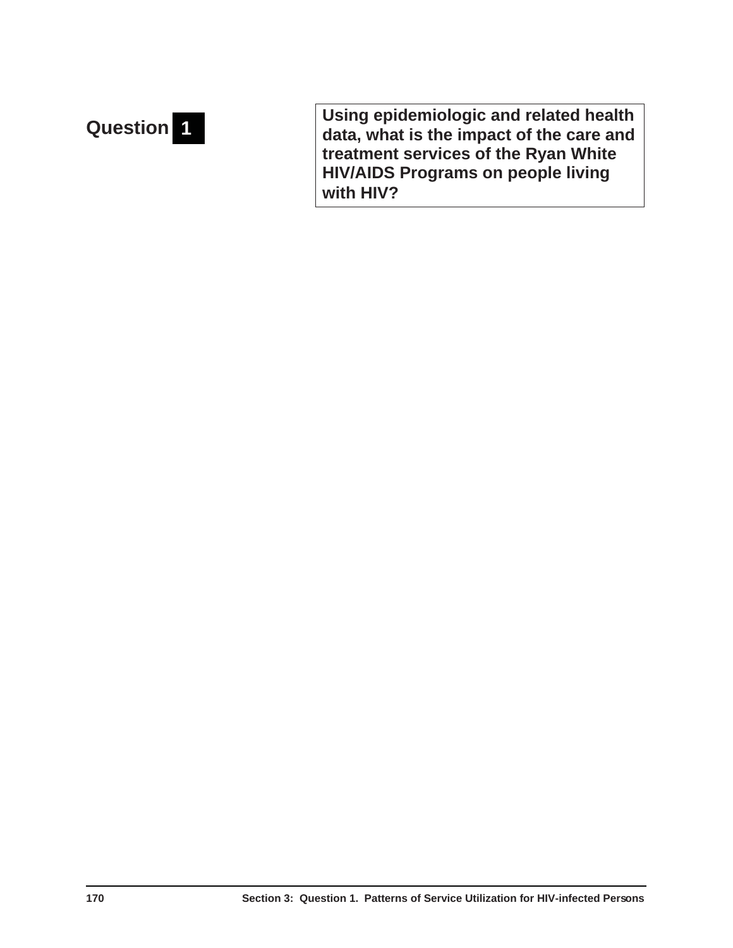

**Question Using epidemiologic and related health data, what is the impact of the care and treatment services of the Ryan White HIV/AIDS Programs on people living with HIV?**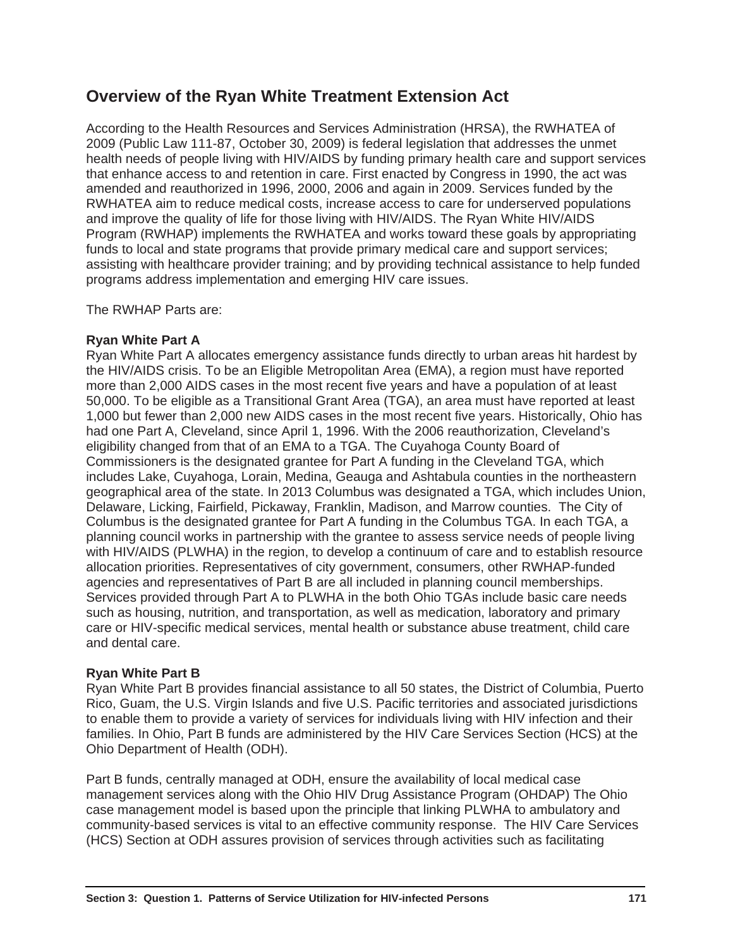## **Overview of the Ryan White Treatment Extension Act**

According to the Health Resources and Services Administration (HRSA), the RWHATEA of 2009 (Public Law 111-87, October 30, 2009) is federal legislation that addresses the unmet health needs of people living with HIV/AIDS by funding primary health care and support services that enhance access to and retention in care. First enacted by Congress in 1990, the act was amended and reauthorized in 1996, 2000, 2006 and again in 2009. Services funded by the RWHATEA aim to reduce medical costs, increase access to care for underserved populations and improve the quality of life for those living with HIV/AIDS. The Ryan White HIV/AIDS Program (RWHAP) implements the RWHATEA and works toward these goals by appropriating funds to local and state programs that provide primary medical care and support services; assisting with healthcare provider training; and by providing technical assistance to help funded programs address implementation and emerging HIV care issues.

The RWHAP Parts are:

## **Ryan White Part A**

Ryan White Part A allocates emergency assistance funds directly to urban areas hit hardest by the HIV/AIDS crisis. To be an Eligible Metropolitan Area (EMA), a region must have reported more than 2,000 AIDS cases in the most recent five years and have a population of at least 50,000. To be eligible as a Transitional Grant Area (TGA), an area must have reported at least 1,000 but fewer than 2,000 new AIDS cases in the most recent five years. Historically, Ohio has had one Part A, Cleveland, since April 1, 1996. With the 2006 reauthorization, Cleveland's eligibility changed from that of an EMA to a TGA. The Cuyahoga County Board of Commissioners is the designated grantee for Part A funding in the Cleveland TGA, which includes Lake, Cuyahoga, Lorain, Medina, Geauga and Ashtabula counties in the northeastern geographical area of the state. In 2013 Columbus was designated a TGA, which includes Union, Delaware, Licking, Fairfield, Pickaway, Franklin, Madison, and Marrow counties. The City of Columbus is the designated grantee for Part A funding in the Columbus TGA. In each TGA, a planning council works in partnership with the grantee to assess service needs of people living with HIV/AIDS (PLWHA) in the region, to develop a continuum of care and to establish resource allocation priorities. Representatives of city government, consumers, other RWHAP-funded agencies and representatives of Part B are all included in planning council memberships. Services provided through Part A to PLWHA in the both Ohio TGAs include basic care needs such as housing, nutrition, and transportation, as well as medication, laboratory and primary care or HIV-specific medical services, mental health or substance abuse treatment, child care and dental care.

#### **Ryan White Part B**

Ryan White Part B provides financial assistance to all 50 states, the District of Columbia, Puerto Rico, Guam, the U.S. Virgin Islands and five U.S. Pacific territories and associated jurisdictions to enable them to provide a variety of services for individuals living with HIV infection and their families. In Ohio, Part B funds are administered by the HIV Care Services Section (HCS) at the Ohio Department of Health (ODH).

Part B funds, centrally managed at ODH, ensure the availability of local medical case management services along with the Ohio HIV Drug Assistance Program (OHDAP) The Ohio case management model is based upon the principle that linking PLWHA to ambulatory and community-based services is vital to an effective community response. The HIV Care Services (HCS) Section at ODH assures provision of services through activities such as facilitating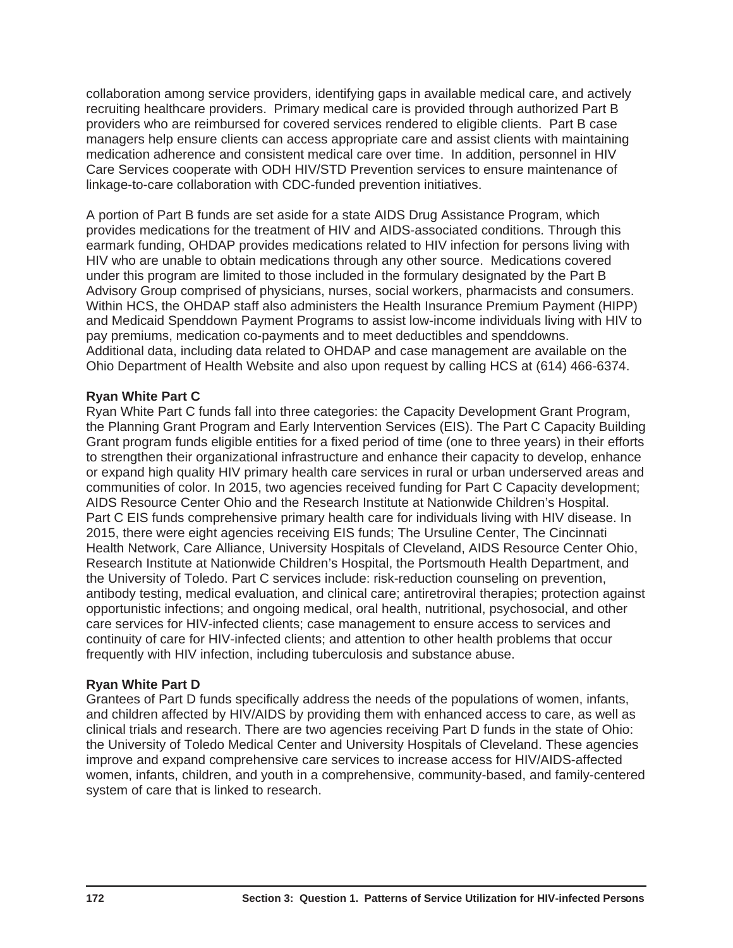collaboration among service providers, identifying gaps in available medical care, and actively recruiting healthcare providers. Primary medical care is provided through authorized Part B providers who are reimbursed for covered services rendered to eligible clients. Part B case managers help ensure clients can access appropriate care and assist clients with maintaining medication adherence and consistent medical care over time. In addition, personnel in HIV Care Services cooperate with ODH HIV/STD Prevention services to ensure maintenance of linkage-to-care collaboration with CDC-funded prevention initiatives.

A portion of Part B funds are set aside for a state AIDS Drug Assistance Program, which provides medications for the treatment of HIV and AIDS-associated conditions. Through this earmark funding, OHDAP provides medications related to HIV infection for persons living with HIV who are unable to obtain medications through any other source. Medications covered under this program are limited to those included in the formulary designated by the Part B Advisory Group comprised of physicians, nurses, social workers, pharmacists and consumers. Within HCS, the OHDAP staff also administers the Health Insurance Premium Payment (HIPP) and Medicaid Spenddown Payment Programs to assist low-income individuals living with HIV to pay premiums, medication co-payments and to meet deductibles and spenddowns. Additional data, including data related to OHDAP and case management are available on the Ohio Department of Health Website and also upon request by calling HCS at (614) 466-6374.

#### **Ryan White Part C**

Ryan White Part C funds fall into three categories: the Capacity Development Grant Program, the Planning Grant Program and Early Intervention Services (EIS). The Part C Capacity Building Grant program funds eligible entities for a fixed period of time (one to three years) in their efforts to strengthen their organizational infrastructure and enhance their capacity to develop, enhance or expand high quality HIV primary health care services in rural or urban underserved areas and communities of color. In 2015, two agencies received funding for Part C Capacity development; AIDS Resource Center Ohio and the Research Institute at Nationwide Children's Hospital. Part C EIS funds comprehensive primary health care for individuals living with HIV disease. In 2015, there were eight agencies receiving EIS funds; The Ursuline Center, The Cincinnati Health Network, Care Alliance, University Hospitals of Cleveland, AIDS Resource Center Ohio, Research Institute at Nationwide Children's Hospital, the Portsmouth Health Department, and the University of Toledo. Part C services include: risk-reduction counseling on prevention, antibody testing, medical evaluation, and clinical care; antiretroviral therapies; protection against opportunistic infections; and ongoing medical, oral health, nutritional, psychosocial, and other care services for HIV-infected clients; case management to ensure access to services and continuity of care for HIV-infected clients; and attention to other health problems that occur frequently with HIV infection, including tuberculosis and substance abuse.

## **Ryan White Part D**

Grantees of Part D funds specifically address the needs of the populations of women, infants, and children affected by HIV/AIDS by providing them with enhanced access to care, as well as clinical trials and research. There are two agencies receiving Part D funds in the state of Ohio: the University of Toledo Medical Center and University Hospitals of Cleveland. These agencies improve and expand comprehensive care services to increase access for HIV/AIDS-affected women, infants, children, and youth in a comprehensive, community-based, and family-centered system of care that is linked to research.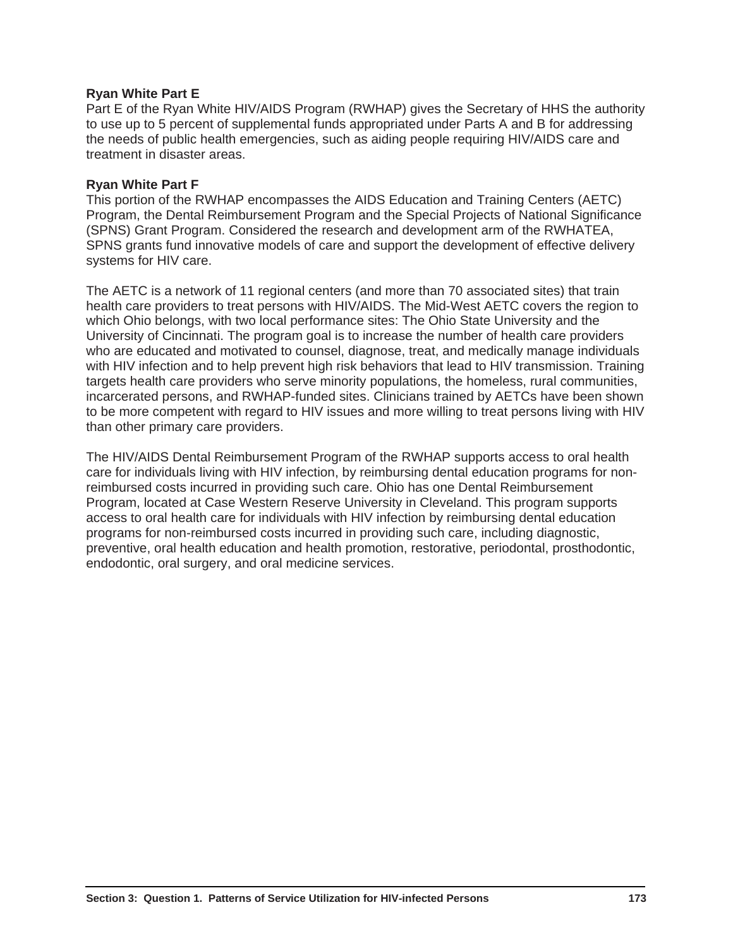#### **Ryan White Part E**

Part E of the Ryan White HIV/AIDS Program (RWHAP) gives the Secretary of HHS the authority to use up to 5 percent of supplemental funds appropriated under Parts A and B for addressing the needs of public health emergencies, such as aiding people requiring HIV/AIDS care and treatment in disaster areas.

#### **Ryan White Part F**

This portion of the RWHAP encompasses the AIDS Education and Training Centers (AETC) Program, the Dental Reimbursement Program and the Special Projects of National Significance (SPNS) Grant Program. Considered the research and development arm of the RWHATEA, SPNS grants fund innovative models of care and support the development of effective delivery systems for HIV care.

The AETC is a network of 11 regional centers (and more than 70 associated sites) that train health care providers to treat persons with HIV/AIDS. The Mid-West AETC covers the region to which Ohio belongs, with two local performance sites: The Ohio State University and the University of Cincinnati. The program goal is to increase the number of health care providers who are educated and motivated to counsel, diagnose, treat, and medically manage individuals with HIV infection and to help prevent high risk behaviors that lead to HIV transmission. Training targets health care providers who serve minority populations, the homeless, rural communities, incarcerated persons, and RWHAP-funded sites. Clinicians trained by AETCs have been shown to be more competent with regard to HIV issues and more willing to treat persons living with HIV than other primary care providers.

The HIV/AIDS Dental Reimbursement Program of the RWHAP supports access to oral health care for individuals living with HIV infection, by reimbursing dental education programs for nonreimbursed costs incurred in providing such care. Ohio has one Dental Reimbursement Program, located at Case Western Reserve University in Cleveland. This program supports access to oral health care for individuals with HIV infection by reimbursing dental education programs for non-reimbursed costs incurred in providing such care, including diagnostic, preventive, oral health education and health promotion, restorative, periodontal, prosthodontic, endodontic, oral surgery, and oral medicine services.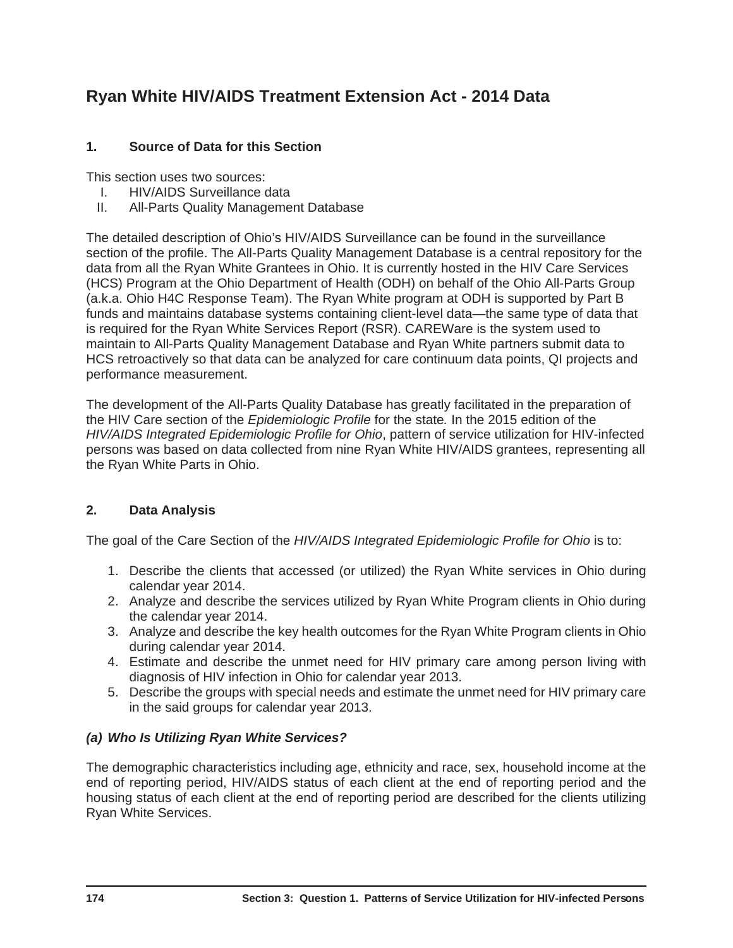# **Ryan White HIV/AIDS Treatment Extension Act - 2014 Data**

## **1. Source of Data for this Section**

This section uses two sources:

- I. HIV/AIDS Surveillance data
- II. All-Parts Quality Management Database

The detailed description of Ohio's HIV/AIDS Surveillance can be found in the surveillance section of the profile. The All-Parts Quality Management Database is a central repository for the data from all the Ryan White Grantees in Ohio. It is currently hosted in the HIV Care Services (HCS) Program at the Ohio Department of Health (ODH) on behalf of the Ohio All-Parts Group (a.k.a. Ohio H4C Response Team). The Ryan White program at ODH is supported by Part B funds and maintains database systems containing client-level data—the same type of data that is required for the Ryan White Services Report (RSR). CAREWare is the system used to maintain to All-Parts Quality Management Database and Ryan White partners submit data to HCS retroactively so that data can be analyzed for care continuum data points, QI projects and performance measurement.

The development of the All-Parts Quality Database has greatly facilitated in the preparation of the HIV Care section of the *Epidemiologic Profile* for the state*.* In the 2015 edition of the *HIV/AIDS Integrated Epidemiologic Profile for Ohio*, pattern of service utilization for HIV-infected persons was based on data collected from nine Ryan White HIV/AIDS grantees, representing all the Ryan White Parts in Ohio.

## **2. Data Analysis**

The goal of the Care Section of the *HIV/AIDS Integrated Epidemiologic Profile for Ohio* is to:

- 1. Describe the clients that accessed (or utilized) the Ryan White services in Ohio during calendar year 2014.
- 2. Analyze and describe the services utilized by Ryan White Program clients in Ohio during the calendar year 2014.
- 3. Analyze and describe the key health outcomes for the Ryan White Program clients in Ohio during calendar year 2014.
- 4. Estimate and describe the unmet need for HIV primary care among person living with diagnosis of HIV infection in Ohio for calendar year 2013.
- 5. Describe the groups with special needs and estimate the unmet need for HIV primary care in the said groups for calendar year 2013.

## *(a) Who Is Utilizing Ryan White Services?*

The demographic characteristics including age, ethnicity and race, sex, household income at the end of reporting period, HIV/AIDS status of each client at the end of reporting period and the housing status of each client at the end of reporting period are described for the clients utilizing Ryan White Services.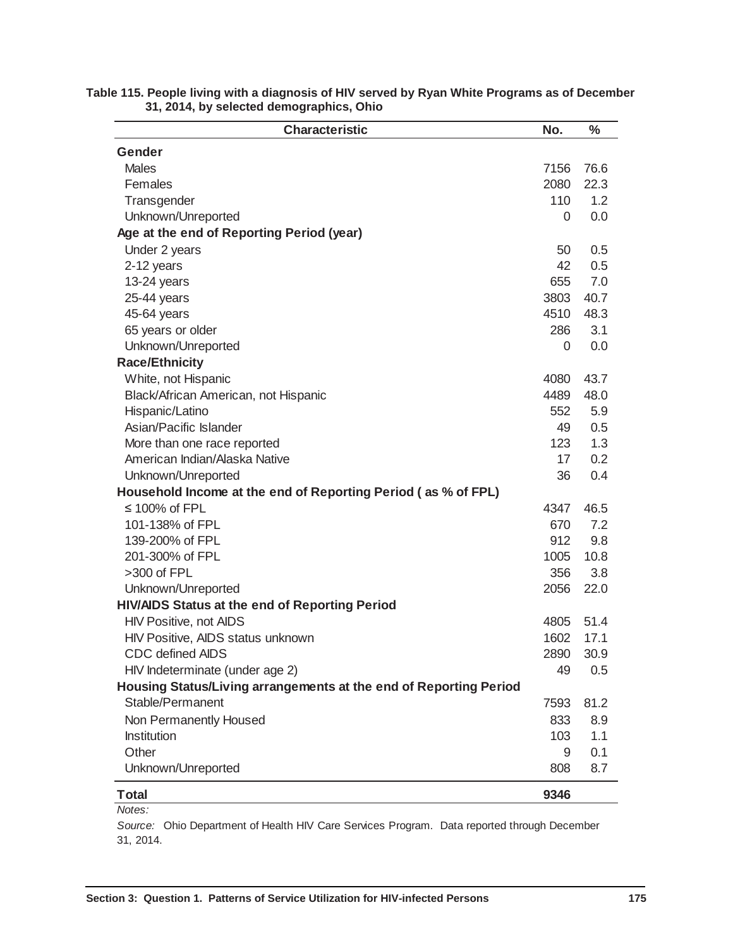| <b>Characteristic</b>                                             | No.  | $\frac{0}{0}$ |
|-------------------------------------------------------------------|------|---------------|
| Gender                                                            |      |               |
| <b>Males</b>                                                      | 7156 | 76.6          |
| Females                                                           | 2080 | 22.3          |
| Transgender                                                       | 110  | 1.2           |
| Unknown/Unreported                                                | 0    | 0.0           |
| Age at the end of Reporting Period (year)                         |      |               |
| Under 2 years                                                     | 50   | 0.5           |
| 2-12 years                                                        | 42   | 0.5           |
| 13-24 years                                                       | 655  | 7.0           |
| 25-44 years                                                       | 3803 | 40.7          |
| 45-64 years                                                       | 4510 | 48.3          |
| 65 years or older                                                 | 286  | 3.1           |
| Unknown/Unreported                                                | 0    | 0.0           |
| <b>Race/Ethnicity</b>                                             |      |               |
| White, not Hispanic                                               | 4080 | 43.7          |
| Black/African American, not Hispanic                              | 4489 | 48.0          |
| Hispanic/Latino                                                   | 552  | 5.9           |
| Asian/Pacific Islander                                            | 49   | 0.5           |
| More than one race reported                                       | 123  | 1.3           |
| American Indian/Alaska Native                                     | 17   | 0.2           |
| Unknown/Unreported                                                | 36   | 0.4           |
| Household Income at the end of Reporting Period (as % of FPL)     |      |               |
| $\leq$ 100% of FPL                                                | 4347 | 46.5          |
| 101-138% of FPL                                                   | 670  | 7.2           |
| 139-200% of FPL                                                   | 912  | 9.8           |
| 201-300% of FPL                                                   | 1005 | 10.8          |
| $>300$ of FPL                                                     | 356  | 3.8           |
| Unknown/Unreported                                                | 2056 | 22.0          |
| <b>HIV/AIDS Status at the end of Reporting Period</b>             |      |               |
| HIV Positive, not AIDS                                            | 4805 | 51.4          |
| HIV Positive, AIDS status unknown                                 | 1602 | 17.1          |
| <b>CDC defined AIDS</b>                                           | 2890 | 30.9          |
| HIV Indeterminate (under age 2)                                   | 49   | 0.5           |
| Housing Status/Living arrangements at the end of Reporting Period |      |               |
| Stable/Permanent                                                  | 7593 | 81.2          |
| Non Permanently Housed                                            | 833  | 8.9           |
| Institution                                                       | 103  | 1.1           |
| Other                                                             | 9    | 0.1           |
| Unknown/Unreported                                                | 808  | 8.7           |
| <b>Total</b>                                                      | 9346 |               |

**Table 115. People living with a diagnosis of HIV served by Ryan White Programs as of December 31, 2014, by selected demographics, Ohio** 

# *Notes:*

Source: Ohio Department of Health HIV Care Services Program. Data reported through December 31, 2014.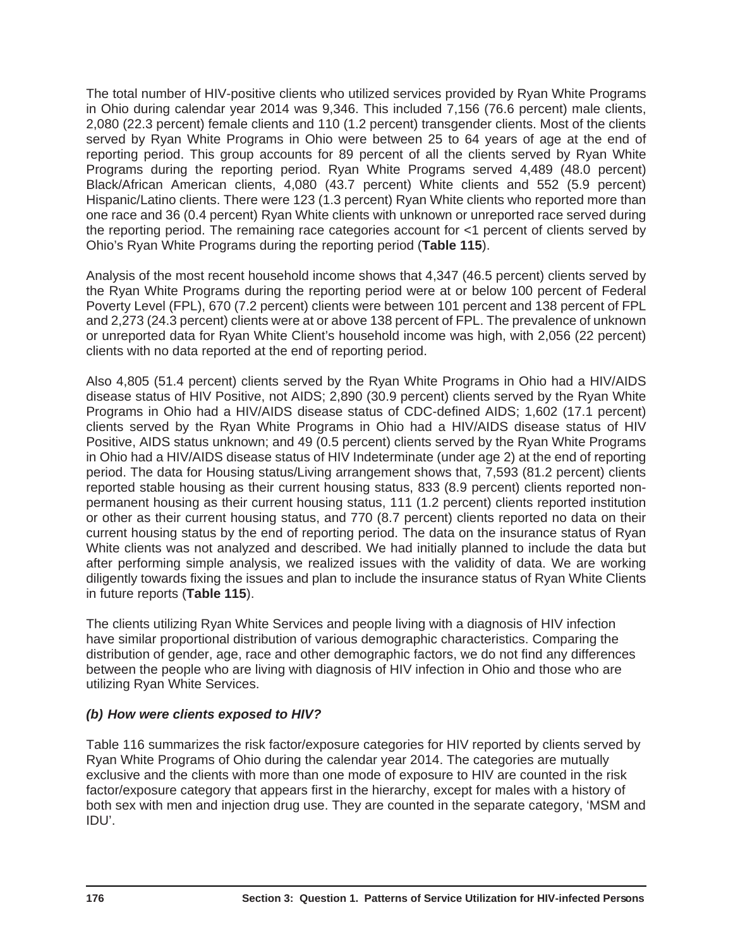The total number of HIV-positive clients who utilized services provided by Ryan White Programs in Ohio during calendar year 2014 was 9,346. This included 7,156 (76.6 percent) male clients, 2,080 (22.3 percent) female clients and 110 (1.2 percent) transgender clients. Most of the clients served by Ryan White Programs in Ohio were between 25 to 64 years of age at the end of reporting period. This group accounts for 89 percent of all the clients served by Ryan White Programs during the reporting period. Ryan White Programs served 4,489 (48.0 percent) Black/African American clients, 4,080 (43.7 percent) White clients and 552 (5.9 percent) Hispanic/Latino clients. There were 123 (1.3 percent) Ryan White clients who reported more than one race and 36 (0.4 percent) Ryan White clients with unknown or unreported race served during the reporting period. The remaining race categories account for <1 percent of clients served by Ohio's Ryan White Programs during the reporting period (**Table 115**).

Analysis of the most recent household income shows that 4,347 (46.5 percent) clients served by the Ryan White Programs during the reporting period were at or below 100 percent of Federal Poverty Level (FPL), 670 (7.2 percent) clients were between 101 percent and 138 percent of FPL and 2,273 (24.3 percent) clients were at or above 138 percent of FPL. The prevalence of unknown or unreported data for Ryan White Client's household income was high, with 2,056 (22 percent) clients with no data reported at the end of reporting period.

Also 4,805 (51.4 percent) clients served by the Ryan White Programs in Ohio had a HIV/AIDS disease status of HIV Positive, not AIDS; 2,890 (30.9 percent) clients served by the Ryan White Programs in Ohio had a HIV/AIDS disease status of CDC-defined AIDS; 1,602 (17.1 percent) clients served by the Ryan White Programs in Ohio had a HIV/AIDS disease status of HIV Positive, AIDS status unknown; and 49 (0.5 percent) clients served by the Ryan White Programs in Ohio had a HIV/AIDS disease status of HIV Indeterminate (under age 2) at the end of reporting period. The data for Housing status/Living arrangement shows that, 7,593 (81.2 percent) clients reported stable housing as their current housing status, 833 (8.9 percent) clients reported nonpermanent housing as their current housing status, 111 (1.2 percent) clients reported institution or other as their current housing status, and 770 (8.7 percent) clients reported no data on their current housing status by the end of reporting period. The data on the insurance status of Ryan White clients was not analyzed and described. We had initially planned to include the data but after performing simple analysis, we realized issues with the validity of data. We are working diligently towards fixing the issues and plan to include the insurance status of Ryan White Clients in future reports (**Table 115**).

The clients utilizing Ryan White Services and people living with a diagnosis of HIV infection have similar proportional distribution of various demographic characteristics. Comparing the distribution of gender, age, race and other demographic factors, we do not find any differences between the people who are living with diagnosis of HIV infection in Ohio and those who are utilizing Ryan White Services.

## *(b) How were clients exposed to HIV?*

Table 116 summarizes the risk factor/exposure categories for HIV reported by clients served by Ryan White Programs of Ohio during the calendar year 2014. The categories are mutually exclusive and the clients with more than one mode of exposure to HIV are counted in the risk factor/exposure category that appears first in the hierarchy, except for males with a history of both sex with men and injection drug use. They are counted in the separate category, 'MSM and IDU'.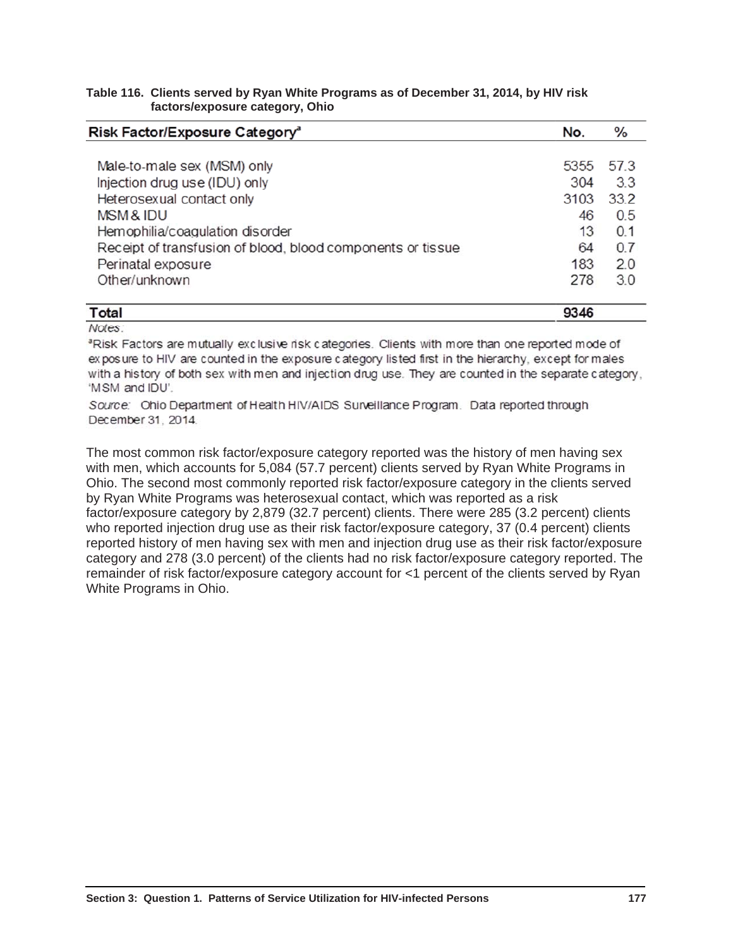#### **Table 116. Clients served by Ryan White Programs as of December 31, 2014, by HIV risk factors/exposure category, Ohio**

| Risk Factor/Exposure Category <sup>a</sup><br>No.           |      |      |  |  |  |  |
|-------------------------------------------------------------|------|------|--|--|--|--|
|                                                             |      |      |  |  |  |  |
| Male-to-male sex (MSM) only                                 | 5355 | 57.3 |  |  |  |  |
| Injection drug use (IDU) only                               | 304  | 3.3  |  |  |  |  |
| Heterosexual contact only                                   | 3103 | 33.2 |  |  |  |  |
| MSM&IDU                                                     | 46   | 0.5  |  |  |  |  |
| Hemophilia/coagulation disorder                             | 13   | 0.1  |  |  |  |  |
| Receipt of transfusion of blood, blood components or tissue | 64   | 0.7  |  |  |  |  |
| Perinatal exposure                                          | 183  | 2.0  |  |  |  |  |
| Other/unknown                                               | 278  | 3.0  |  |  |  |  |
| Total                                                       | 9346 |      |  |  |  |  |

Notes:

a Risk Factors are mutually exclusive risk categories. Clients with more than one reported mode of exposure to HIV are counted in the exposure category listed first in the hierarchy, except for males with a history of both sex with men and injection drug use. They are counted in the separate category, 'MSM and IDU'.

Source: Ohio Department of Health HIV/AIDS Surveillance Program. Data reported through December 31, 2014.

The most common risk factor/exposure category reported was the history of men having sex with men, which accounts for 5,084 (57.7 percent) clients served by Ryan White Programs in Ohio. The second most commonly reported risk factor/exposure category in the clients served by Ryan White Programs was heterosexual contact, which was reported as a risk factor/exposure category by 2,879 (32.7 percent) clients. There were 285 (3.2 percent) clients who reported injection drug use as their risk factor/exposure category, 37 (0.4 percent) clients reported history of men having sex with men and injection drug use as their risk factor/exposure category and 278 (3.0 percent) of the clients had no risk factor/exposure category reported. The remainder of risk factor/exposure category account for <1 percent of the clients served by Ryan White Programs in Ohio.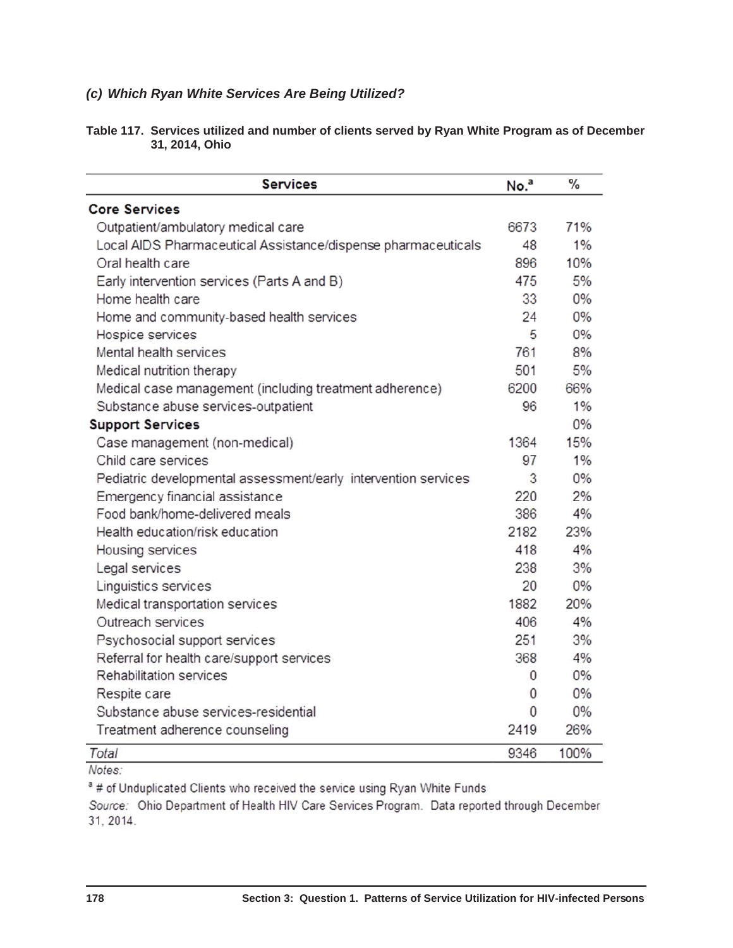## *(c) Which Ryan White Services Are Being Utilized?*

**Table 117. Services utilized and number of clients served by Ryan White Program as of December 31, 2014, Ohio** 

| <b>Services</b>                                                | No. <sup>a</sup> | %    |
|----------------------------------------------------------------|------------------|------|
| <b>Core Services</b>                                           |                  |      |
| Outpatient/ambulatory medical care                             | 6673             | 71%  |
| Local AIDS Pharmaceutical Assistance/dispense pharmaceuticals  | 48               | 1%   |
| Oral health care                                               | 896              | 10%  |
| Early intervention services (Parts A and B)                    | 475              | 5%   |
| Home health care                                               | 33               | 0%   |
| Home and community-based health services                       | 24               | 0%   |
| Hospice services                                               | 5                | 0%   |
| Mental health services                                         | 761              | 8%   |
| Medical nutrition therapy                                      | 501              | 5%   |
| Medical case management (including treatment adherence)        | 6200             | 66%  |
| Substance abuse services-outpatient                            | 96               | 1%   |
| <b>Support Services</b>                                        |                  | 0%   |
| Case management (non-medical)                                  | 1364             | 15%  |
| Child care services                                            | 97               | 1%   |
| Pediatric developmental assessment/early intervention services | 3                | 0%   |
| Emergency financial assistance                                 | 220              | 2%   |
| Food bank/home-delivered meals                                 | 386              | 4%   |
| Health education/risk education                                | 2182             | 23%  |
| Housing services                                               | 418              | 4%   |
| Legal services                                                 | 238              | 3%   |
| Linguistics services                                           | 20               | 0%   |
| Medical transportation services                                | 1882             | 20%  |
| Outreach services                                              | 406              | 4%   |
| Psychosocial support services                                  | 251              | 3%   |
| Referral for health care/support services                      | 368              | 4%   |
| Rehabilitation services                                        | 0                | 0%   |
| Respite care                                                   | 0                | 0%   |
| Substance abuse services-residential                           | 0                | 0%   |
| Treatment adherence counseling                                 | 2419             | 26%  |
| Total                                                          | 9346             | 100% |

Notes:

<sup>a</sup> # of Unduplicated Clients who received the service using Ryan White Funds

Source: Ohio Department of Health HIV Care Services Program. Data reported through December 31, 2014.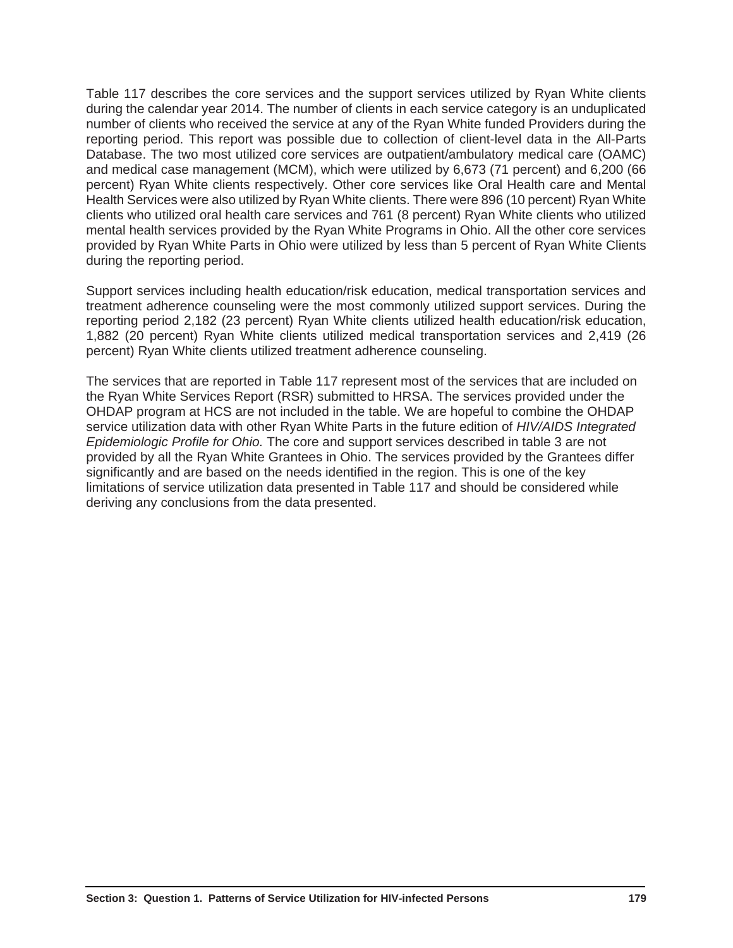Table 117 describes the core services and the support services utilized by Ryan White clients during the calendar year 2014. The number of clients in each service category is an unduplicated number of clients who received the service at any of the Ryan White funded Providers during the reporting period. This report was possible due to collection of client-level data in the All-Parts Database. The two most utilized core services are outpatient/ambulatory medical care (OAMC) and medical case management (MCM), which were utilized by 6,673 (71 percent) and 6,200 (66 percent) Ryan White clients respectively. Other core services like Oral Health care and Mental Health Services were also utilized by Ryan White clients. There were 896 (10 percent) Ryan White clients who utilized oral health care services and 761 (8 percent) Ryan White clients who utilized mental health services provided by the Ryan White Programs in Ohio. All the other core services provided by Ryan White Parts in Ohio were utilized by less than 5 percent of Ryan White Clients during the reporting period.

Support services including health education/risk education, medical transportation services and treatment adherence counseling were the most commonly utilized support services. During the reporting period 2,182 (23 percent) Ryan White clients utilized health education/risk education, 1,882 (20 percent) Ryan White clients utilized medical transportation services and 2,419 (26 percent) Ryan White clients utilized treatment adherence counseling.

The services that are reported in Table 117 represent most of the services that are included on the Ryan White Services Report (RSR) submitted to HRSA. The services provided under the OHDAP program at HCS are not included in the table. We are hopeful to combine the OHDAP service utilization data with other Ryan White Parts in the future edition of *HIV/AIDS Integrated Epidemiologic Profile for Ohio.* The core and support services described in table 3 are not provided by all the Ryan White Grantees in Ohio. The services provided by the Grantees differ significantly and are based on the needs identified in the region. This is one of the key limitations of service utilization data presented in Table 117 and should be considered while deriving any conclusions from the data presented.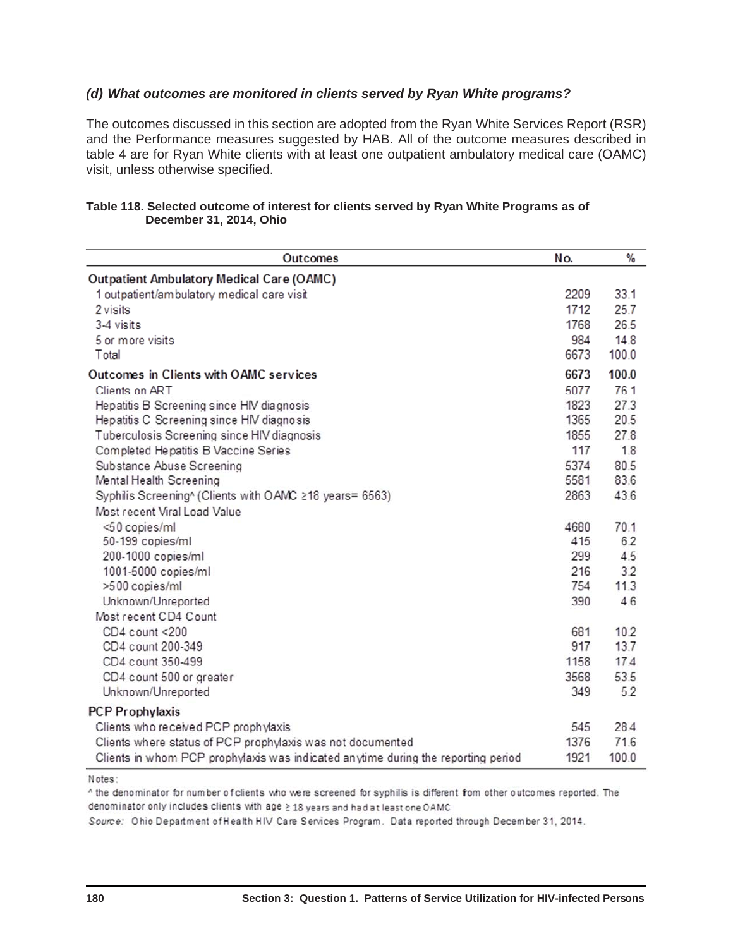#### *(d) What outcomes are monitored in clients served by Ryan White programs?*

The outcomes discussed in this section are adopted from the Ryan White Services Report (RSR) and the Performance measures suggested by HAB. All of the outcome measures described in table 4 are for Ryan White clients with at least one outpatient ambulatory medical care (OAMC) visit, unless otherwise specified.

| Outcomes                                                                          | No.  | %     |
|-----------------------------------------------------------------------------------|------|-------|
| <b>Outpatient Ambulatory Medical Care (OAMC)</b>                                  |      |       |
| 1 outpatient/ambulatory medical care visit                                        | 2209 | 33.1  |
| 2 visits                                                                          | 1712 | 25.7  |
| 3-4 visits                                                                        | 1768 | 26.5  |
| 5 or more visits                                                                  | 984  | 14.8  |
| Total                                                                             | 6673 | 100.0 |
| Outcomes in Clients with OAMC services                                            | 6673 | 100.0 |
| Clients on ART                                                                    | 5077 | 76.1  |
| Hepatitis B Screening since HIV diagnosis                                         | 1823 | 27.3  |
| Hepatitis C Screening since HIV diagnosis                                         | 1365 | 20.5  |
| Tuberculosis Screening since HIV diagnosis                                        | 1855 | 27.8  |
| Completed Hepatitis B Vaccine Series                                              | 117  | 1.8   |
| Substance Abuse Screening                                                         | 5374 | 80.5  |
| Mental Health Screening                                                           | 5581 | 83.6  |
| Syphilis Screening^ (Clients with OAMC ≥18 years= 6563)                           | 2863 | 43.6  |
| Most recent Viral Load Value                                                      |      |       |
| <50 copies/ml                                                                     | 4680 | 70.1  |
| 50-199 copies/ml                                                                  | 415  | 6.2   |
| 200-1000 copies/ml                                                                | 299  | 4.5   |
| 1001-5000 copies/ml                                                               | 216  | 3.2   |
| >500 copies/ml                                                                    | 754  | 11.3  |
| Unknown/Unreported                                                                | 390  | 4.6   |
| Most recent CD4 Count                                                             |      |       |
| CD4 count <200                                                                    | 681  | 10.2  |
| CD4 count 200-349                                                                 | 917  | 13.7  |
| CD4 count 350-499                                                                 | 1158 | 17.4  |
| CD4 count 500 or greater                                                          | 3568 | 53.5  |
| Unknown/Unreported                                                                | 349  | 5.2   |
| <b>PCP Prophylaxis</b>                                                            |      |       |
| Clients who received PCP prophylaxis                                              | 545  | 28.4  |
| Clients where status of PCP prophylaxis was not documented                        | 1376 | 71.6  |
| Clients in whom PCP prophylaxis was indicated anytime during the reporting period | 1921 | 100.0 |

#### **Table 118. Selected outcome of interest for clients served by Ryan White Programs as of December 31, 2014, Ohio**

Notes:

A the denominator for number of clients who were screened for syphilis is different from other outcomes reported. The denominator only includes clients with age ≥ 18 years and had at least one OAMC

Source: Ohio Department of Health HIV Care Services Program. Data reported through December 31, 2014.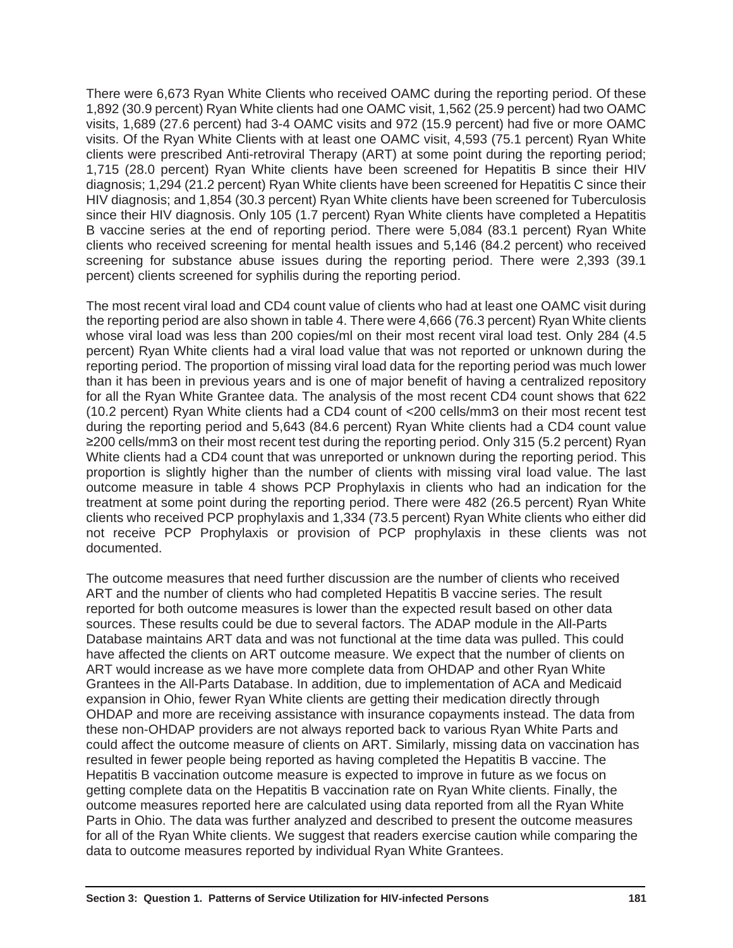There were 6,673 Ryan White Clients who received OAMC during the reporting period. Of these 1,892 (30.9 percent) Ryan White clients had one OAMC visit, 1,562 (25.9 percent) had two OAMC visits, 1,689 (27.6 percent) had 3-4 OAMC visits and 972 (15.9 percent) had five or more OAMC visits. Of the Ryan White Clients with at least one OAMC visit, 4,593 (75.1 percent) Ryan White clients were prescribed Anti-retroviral Therapy (ART) at some point during the reporting period; 1,715 (28.0 percent) Ryan White clients have been screened for Hepatitis B since their HIV diagnosis; 1,294 (21.2 percent) Ryan White clients have been screened for Hepatitis C since their HIV diagnosis; and 1,854 (30.3 percent) Ryan White clients have been screened for Tuberculosis since their HIV diagnosis. Only 105 (1.7 percent) Ryan White clients have completed a Hepatitis B vaccine series at the end of reporting period. There were 5,084 (83.1 percent) Ryan White clients who received screening for mental health issues and 5,146 (84.2 percent) who received screening for substance abuse issues during the reporting period. There were 2,393 (39.1 percent) clients screened for syphilis during the reporting period.

The most recent viral load and CD4 count value of clients who had at least one OAMC visit during the reporting period are also shown in table 4. There were 4,666 (76.3 percent) Ryan White clients whose viral load was less than 200 copies/ml on their most recent viral load test. Only 284 (4.5 percent) Ryan White clients had a viral load value that was not reported or unknown during the reporting period. The proportion of missing viral load data for the reporting period was much lower than it has been in previous years and is one of major benefit of having a centralized repository for all the Ryan White Grantee data. The analysis of the most recent CD4 count shows that 622 (10.2 percent) Ryan White clients had a CD4 count of <200 cells/mm3 on their most recent test during the reporting period and 5,643 (84.6 percent) Ryan White clients had a CD4 count value 200 cells/mm3 on their most recent test during the reporting period. Only 315 (5.2 percent) Ryan White clients had a CD4 count that was unreported or unknown during the reporting period. This proportion is slightly higher than the number of clients with missing viral load value. The last outcome measure in table 4 shows PCP Prophylaxis in clients who had an indication for the treatment at some point during the reporting period. There were 482 (26.5 percent) Ryan White clients who received PCP prophylaxis and 1,334 (73.5 percent) Ryan White clients who either did not receive PCP Prophylaxis or provision of PCP prophylaxis in these clients was not documented.

The outcome measures that need further discussion are the number of clients who received ART and the number of clients who had completed Hepatitis B vaccine series. The result reported for both outcome measures is lower than the expected result based on other data sources. These results could be due to several factors. The ADAP module in the All-Parts Database maintains ART data and was not functional at the time data was pulled. This could have affected the clients on ART outcome measure. We expect that the number of clients on ART would increase as we have more complete data from OHDAP and other Ryan White Grantees in the All-Parts Database. In addition, due to implementation of ACA and Medicaid expansion in Ohio, fewer Ryan White clients are getting their medication directly through OHDAP and more are receiving assistance with insurance copayments instead. The data from these non-OHDAP providers are not always reported back to various Ryan White Parts and could affect the outcome measure of clients on ART. Similarly, missing data on vaccination has resulted in fewer people being reported as having completed the Hepatitis B vaccine. The Hepatitis B vaccination outcome measure is expected to improve in future as we focus on getting complete data on the Hepatitis B vaccination rate on Ryan White clients. Finally, the outcome measures reported here are calculated using data reported from all the Ryan White Parts in Ohio. The data was further analyzed and described to present the outcome measures for all of the Ryan White clients. We suggest that readers exercise caution while comparing the data to outcome measures reported by individual Ryan White Grantees.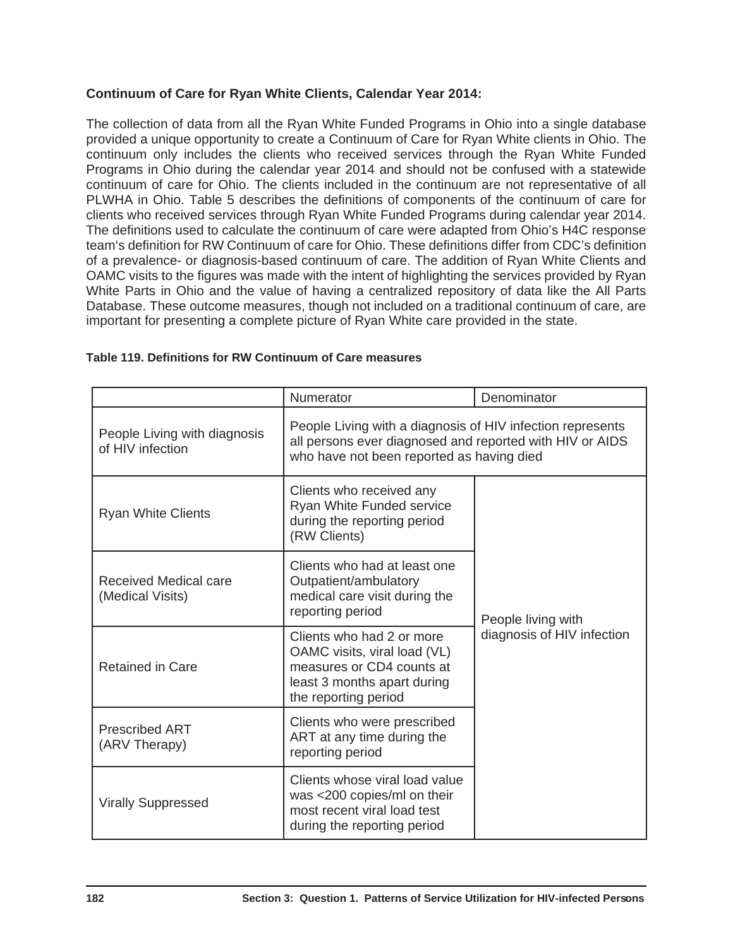## **Continuum of Care for Ryan White Clients, Calendar Year 2014:**

The collection of data from all the Ryan White Funded Programs in Ohio into a single database provided a unique opportunity to create a Continuum of Care for Ryan White clients in Ohio. The continuum only includes the clients who received services through the Ryan White Funded Programs in Ohio during the calendar year 2014 and should not be confused with a statewide continuum of care for Ohio. The clients included in the continuum are not representative of all PLWHA in Ohio. Table 5 describes the definitions of components of the continuum of care for clients who received services through Ryan White Funded Programs during calendar year 2014. The definitions used to calculate the continuum of care were adapted from Ohio's H4C response team's definition for RW Continuum of care for Ohio. These definitions differ from CDC's definition of a prevalence- or diagnosis-based continuum of care. The addition of Ryan White Clients and OAMC visits to the figures was made with the intent of highlighting the services provided by Ryan White Parts in Ohio and the value of having a centralized repository of data like the All Parts Database. These outcome measures, though not included on a traditional continuum of care, are important for presenting a complete picture of Ryan White care provided in the state.

|                                                  | <b>Numerator</b>                                                                                                                                                    | Denominator                |  |  |
|--------------------------------------------------|---------------------------------------------------------------------------------------------------------------------------------------------------------------------|----------------------------|--|--|
| People Living with diagnosis<br>of HIV infection | People Living with a diagnosis of HIV infection represents<br>all persons ever diagnosed and reported with HIV or AIDS<br>who have not been reported as having died |                            |  |  |
| <b>Ryan White Clients</b>                        | Clients who received any<br>Ryan White Funded service<br>during the reporting period<br>(RW Clients)                                                                |                            |  |  |
| Received Medical care<br>(Medical Visits)        | Clients who had at least one<br>Outpatient/ambulatory<br>medical care visit during the<br>reporting period                                                          | People living with         |  |  |
| <b>Retained in Care</b>                          | Clients who had 2 or more<br>OAMC visits, viral load (VL)<br>measures or CD4 counts at<br>least 3 months apart during<br>the reporting period                       | diagnosis of HIV infection |  |  |
| <b>Prescribed ART</b><br>(ARV Therapy)           | Clients who were prescribed<br>ART at any time during the<br>reporting period                                                                                       |                            |  |  |
| <b>Virally Suppressed</b>                        | Clients whose viral load value<br>was <200 copies/ml on their<br>most recent viral load test<br>during the reporting period                                         |                            |  |  |

#### **Table 119. Definitions for RW Continuum of Care measures**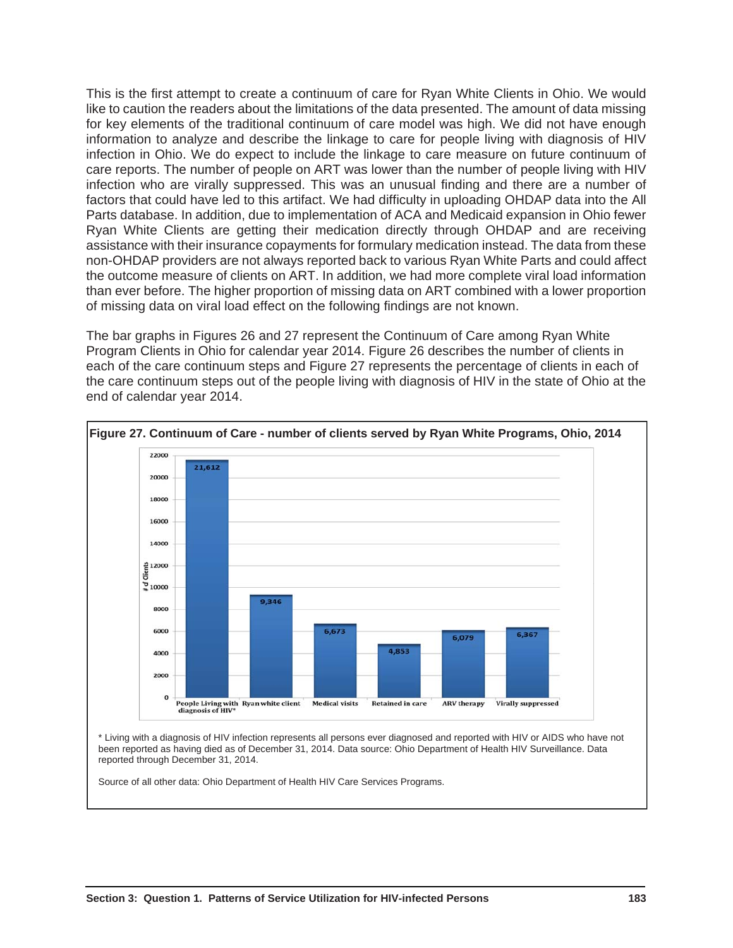This is the first attempt to create a continuum of care for Ryan White Clients in Ohio. We would like to caution the readers about the limitations of the data presented. The amount of data missing for key elements of the traditional continuum of care model was high. We did not have enough information to analyze and describe the linkage to care for people living with diagnosis of HIV infection in Ohio. We do expect to include the linkage to care measure on future continuum of care reports. The number of people on ART was lower than the number of people living with HIV infection who are virally suppressed. This was an unusual finding and there are a number of factors that could have led to this artifact. We had difficulty in uploading OHDAP data into the All Parts database. In addition, due to implementation of ACA and Medicaid expansion in Ohio fewer Ryan White Clients are getting their medication directly through OHDAP and are receiving assistance with their insurance copayments for formulary medication instead. The data from these non-OHDAP providers are not always reported back to various Ryan White Parts and could affect the outcome measure of clients on ART. In addition, we had more complete viral load information than ever before. The higher proportion of missing data on ART combined with a lower proportion of missing data on viral load effect on the following findings are not known.

The bar graphs in Figures 26 and 27 represent the Continuum of Care among Ryan White Program Clients in Ohio for calendar year 2014. Figure 26 describes the number of clients in each of the care continuum steps and Figure 27 represents the percentage of clients in each of the care continuum steps out of the people living with diagnosis of HIV in the state of Ohio at the end of calendar year 2014.



reported through December 31, 2014.

Source of all other data: Ohio Department of Health HIV Care Services Programs.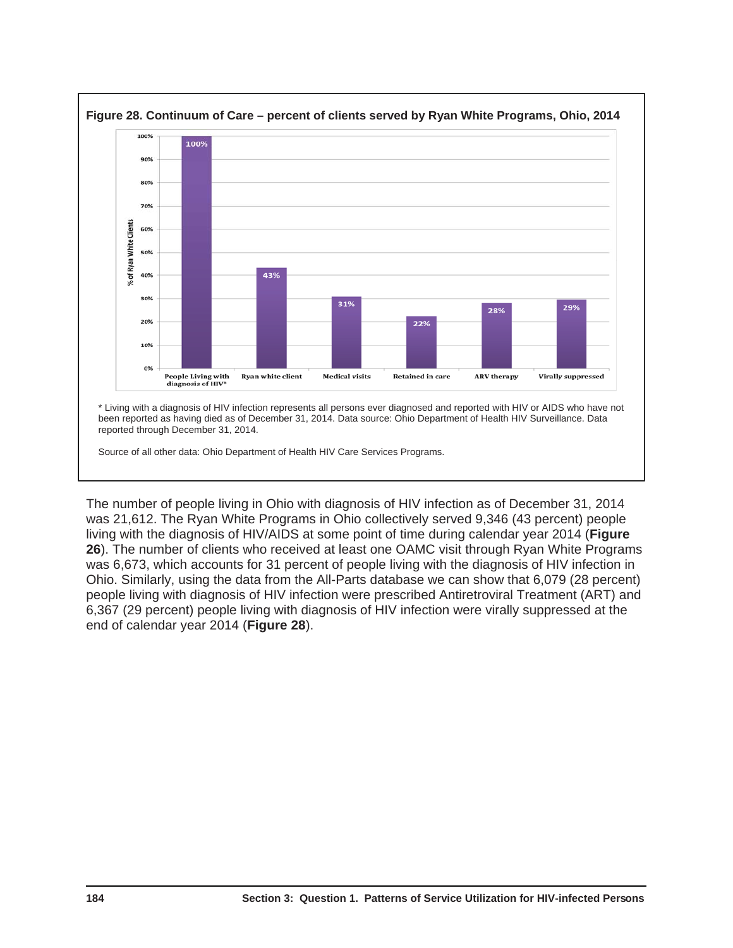

The number of people living in Ohio with diagnosis of HIV infection as of December 31, 2014 was 21,612. The Ryan White Programs in Ohio collectively served 9,346 (43 percent) people living with the diagnosis of HIV/AIDS at some point of time during calendar year 2014 (**Figure 26**). The number of clients who received at least one OAMC visit through Ryan White Programs was 6,673, which accounts for 31 percent of people living with the diagnosis of HIV infection in Ohio. Similarly, using the data from the All-Parts database we can show that 6,079 (28 percent) people living with diagnosis of HIV infection were prescribed Antiretroviral Treatment (ART) and 6,367 (29 percent) people living with diagnosis of HIV infection were virally suppressed at the end of calendar year 2014 (**Figure 28**).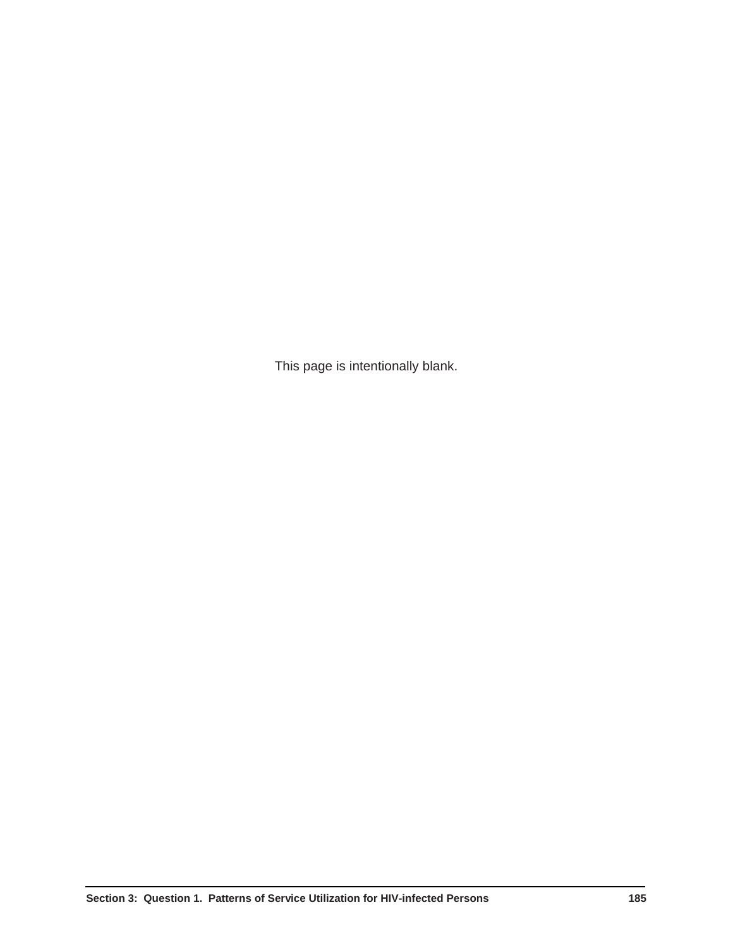This page is intentionally blank.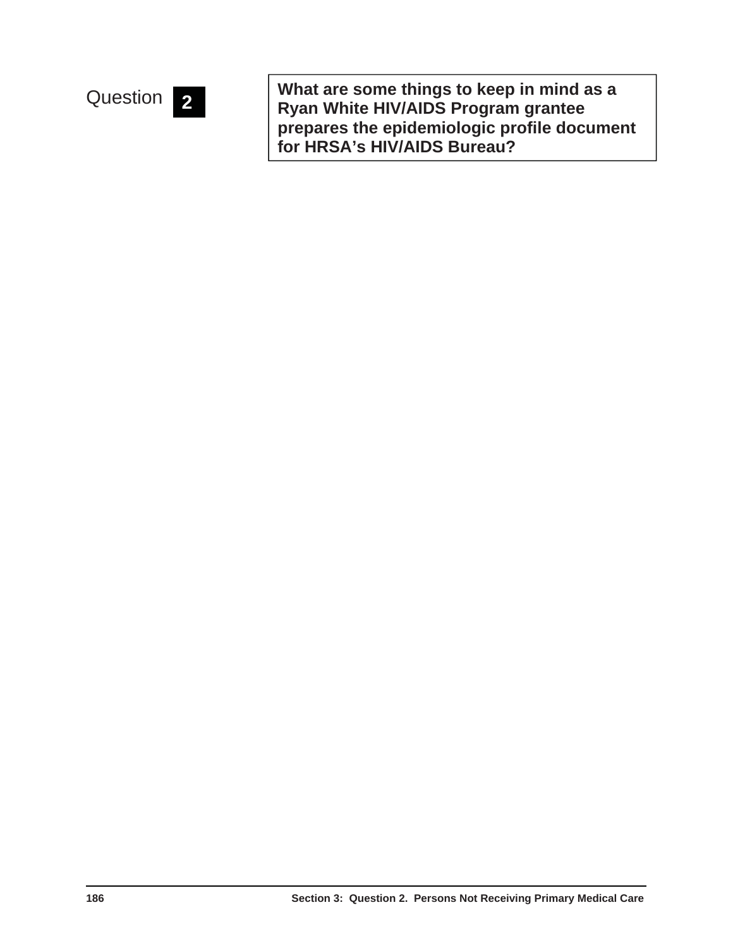

Question **2** What are some things to keep in mind as a **Ryan White HIV/AIDS Program grantee prepares the epidemiologic profile document for HRSA's HIV/AIDS Bureau?**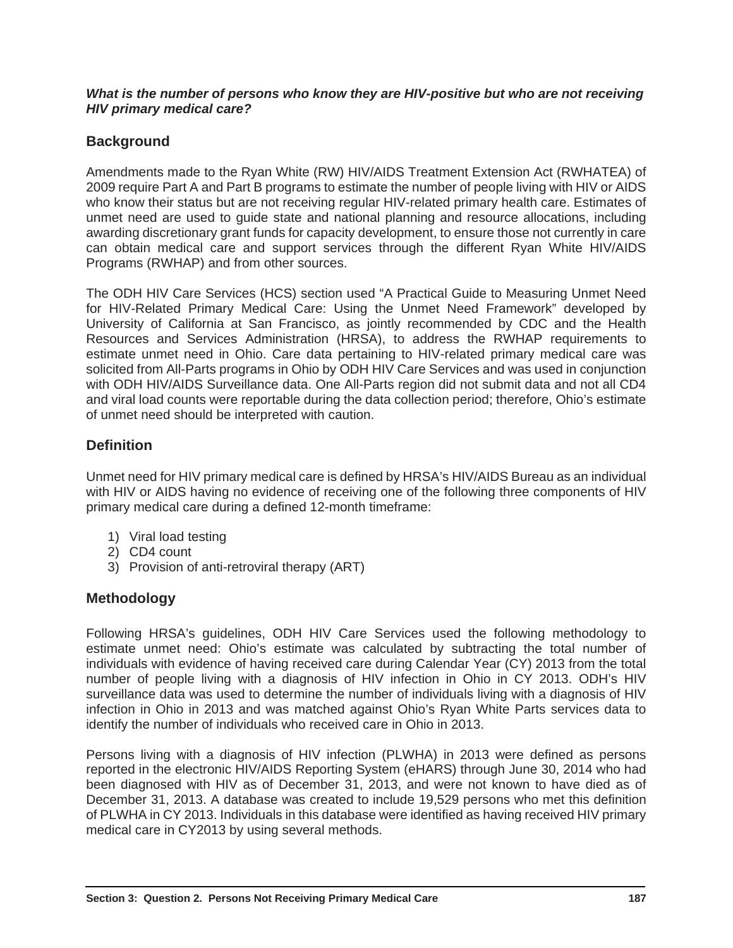#### *What is the number of persons who know they are HIV-positive but who are not receiving HIV primary medical care?*

## **Background**

Amendments made to the Ryan White (RW) HIV/AIDS Treatment Extension Act (RWHATEA) of 2009 require Part A and Part B programs to estimate the number of people living with HIV or AIDS who know their status but are not receiving regular HIV-related primary health care. Estimates of unmet need are used to guide state and national planning and resource allocations, including awarding discretionary grant funds for capacity development, to ensure those not currently in care can obtain medical care and support services through the different Ryan White HIV/AIDS Programs (RWHAP) and from other sources.

The ODH HIV Care Services (HCS) section used "A Practical Guide to Measuring Unmet Need for HIV-Related Primary Medical Care: Using the Unmet Need Framework" developed by University of California at San Francisco, as jointly recommended by CDC and the Health Resources and Services Administration (HRSA), to address the RWHAP requirements to estimate unmet need in Ohio. Care data pertaining to HIV-related primary medical care was solicited from All-Parts programs in Ohio by ODH HIV Care Services and was used in conjunction with ODH HIV/AIDS Surveillance data. One All-Parts region did not submit data and not all CD4 and viral load counts were reportable during the data collection period; therefore, Ohio's estimate of unmet need should be interpreted with caution.

## **Definition**

Unmet need for HIV primary medical care is defined by HRSA's HIV/AIDS Bureau as an individual with HIV or AIDS having no evidence of receiving one of the following three components of HIV primary medical care during a defined 12-month timeframe:

- 1) Viral load testing
- 2) CD4 count
- 3) Provision of anti-retroviral therapy (ART)

## **Methodology**

Following HRSA's guidelines, ODH HIV Care Services used the following methodology to estimate unmet need: Ohio's estimate was calculated by subtracting the total number of individuals with evidence of having received care during Calendar Year (CY) 2013 from the total number of people living with a diagnosis of HIV infection in Ohio in CY 2013. ODH's HIV surveillance data was used to determine the number of individuals living with a diagnosis of HIV infection in Ohio in 2013 and was matched against Ohio's Ryan White Parts services data to identify the number of individuals who received care in Ohio in 2013.

Persons living with a diagnosis of HIV infection (PLWHA) in 2013 were defined as persons reported in the electronic HIV/AIDS Reporting System (eHARS) through June 30, 2014 who had been diagnosed with HIV as of December 31, 2013, and were not known to have died as of December 31, 2013. A database was created to include 19,529 persons who met this definition of PLWHA in CY 2013. Individuals in this database were identified as having received HIV primary medical care in CY2013 by using several methods.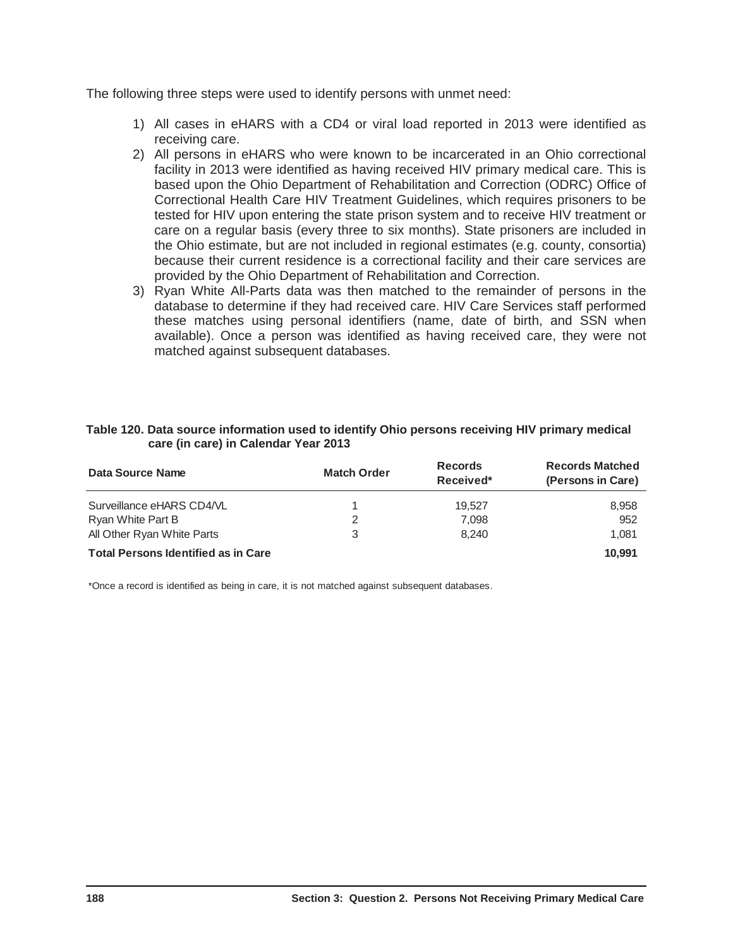The following three steps were used to identify persons with unmet need:

- 1) All cases in eHARS with a CD4 or viral load reported in 2013 were identified as receiving care.
- 2) All persons in eHARS who were known to be incarcerated in an Ohio correctional facility in 2013 were identified as having received HIV primary medical care. This is based upon the Ohio Department of Rehabilitation and Correction (ODRC) Office of Correctional Health Care HIV Treatment Guidelines, which requires prisoners to be tested for HIV upon entering the state prison system and to receive HIV treatment or care on a regular basis (every three to six months). State prisoners are included in the Ohio estimate, but are not included in regional estimates (e.g. county, consortia) because their current residence is a correctional facility and their care services are provided by the Ohio Department of Rehabilitation and Correction.
- 3) Ryan White All-Parts data was then matched to the remainder of persons in the database to determine if they had received care. HIV Care Services staff performed these matches using personal identifiers (name, date of birth, and SSN when available). Once a person was identified as having received care, they were not matched against subsequent databases.

| Data Source Name                           | <b>Match Order</b> | <b>Records</b><br>Received* | <b>Records Matched</b><br>(Persons in Care) |  |
|--------------------------------------------|--------------------|-----------------------------|---------------------------------------------|--|
| Surveillance eHARS CD4/VL                  |                    | 19.527                      | 8,958                                       |  |
| Ryan White Part B                          | 2                  | 7.098                       | 952                                         |  |
| All Other Ryan White Parts                 | 3                  | 8.240                       | 1.081                                       |  |
| <b>Total Persons Identified as in Care</b> |                    |                             | 10.991                                      |  |

#### **Table 120. Data source information used to identify Ohio persons receiving HIV primary medical care (in care) in Calendar Year 2013**

\*Once a record is identified as being in care, it is not matched against subsequent databases.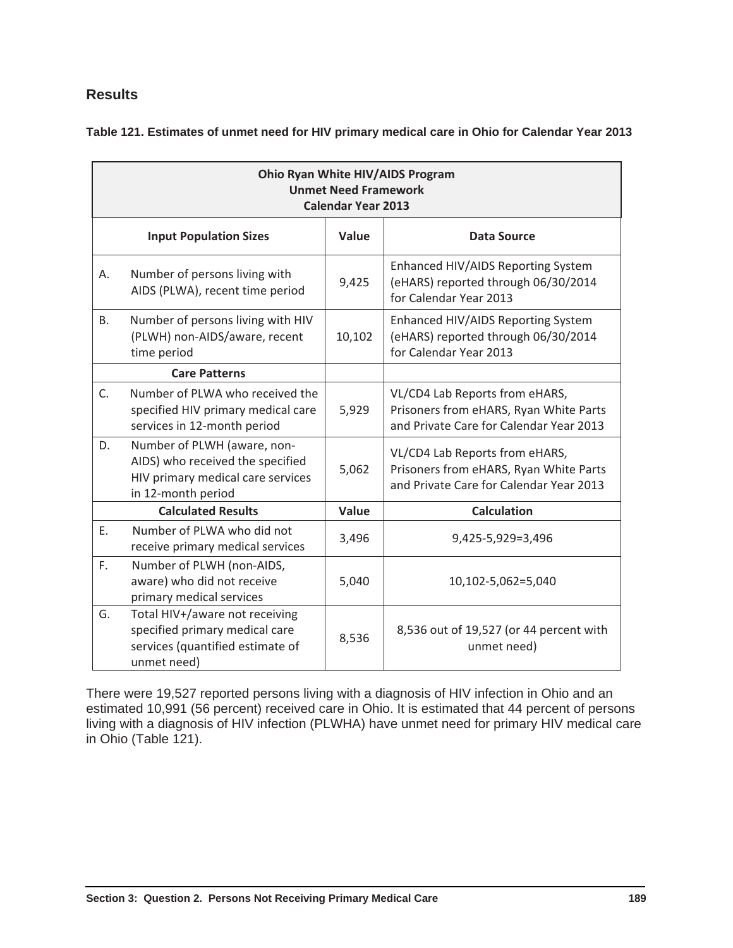## **Results**

| Table 121. Estimates of unmet need for HIV primary medical care in Ohio for Calendar Year 2013 |
|------------------------------------------------------------------------------------------------|
|------------------------------------------------------------------------------------------------|

|    | Ohio Ryan White HIV/AIDS Program<br><b>Unmet Need Framework</b><br><b>Calendar Year 2013</b>                               |        |                                                                                                                     |  |  |  |  |  |
|----|----------------------------------------------------------------------------------------------------------------------------|--------|---------------------------------------------------------------------------------------------------------------------|--|--|--|--|--|
|    | <b>Input Population Sizes</b>                                                                                              | Value  | <b>Data Source</b>                                                                                                  |  |  |  |  |  |
| Α. | Number of persons living with<br>AIDS (PLWA), recent time period                                                           | 9,425  | Enhanced HIV/AIDS Reporting System<br>(eHARS) reported through 06/30/2014<br>for Calendar Year 2013                 |  |  |  |  |  |
| B. | Number of persons living with HIV<br>(PLWH) non-AIDS/aware, recent<br>time period                                          | 10,102 | Enhanced HIV/AIDS Reporting System<br>(eHARS) reported through 06/30/2014<br>for Calendar Year 2013                 |  |  |  |  |  |
|    | <b>Care Patterns</b>                                                                                                       |        |                                                                                                                     |  |  |  |  |  |
| C. | Number of PLWA who received the<br>specified HIV primary medical care<br>services in 12-month period                       | 5,929  | VL/CD4 Lab Reports from eHARS,<br>Prisoners from eHARS, Ryan White Parts<br>and Private Care for Calendar Year 2013 |  |  |  |  |  |
| D. | Number of PLWH (aware, non-<br>AIDS) who received the specified<br>HIV primary medical care services<br>in 12-month period | 5,062  | VL/CD4 Lab Reports from eHARS,<br>Prisoners from eHARS, Ryan White Parts<br>and Private Care for Calendar Year 2013 |  |  |  |  |  |
|    | <b>Calculated Results</b>                                                                                                  | Value  | <b>Calculation</b>                                                                                                  |  |  |  |  |  |
| E. | Number of PLWA who did not<br>receive primary medical services                                                             | 3,496  | 9,425-5,929=3,496                                                                                                   |  |  |  |  |  |
| F. | Number of PLWH (non-AIDS,<br>aware) who did not receive<br>primary medical services                                        | 5,040  | 10,102-5,062=5,040                                                                                                  |  |  |  |  |  |
| G. | Total HIV+/aware not receiving<br>specified primary medical care<br>services (quantified estimate of<br>unmet need)        | 8,536  | 8,536 out of 19,527 (or 44 percent with<br>unmet need)                                                              |  |  |  |  |  |

There were 19,527 reported persons living with a diagnosis of HIV infection in Ohio and an estimated 10,991 (56 percent) received care in Ohio. It is estimated that 44 percent of persons living with a diagnosis of HIV infection (PLWHA) have unmet need for primary HIV medical care in Ohio (Table 121).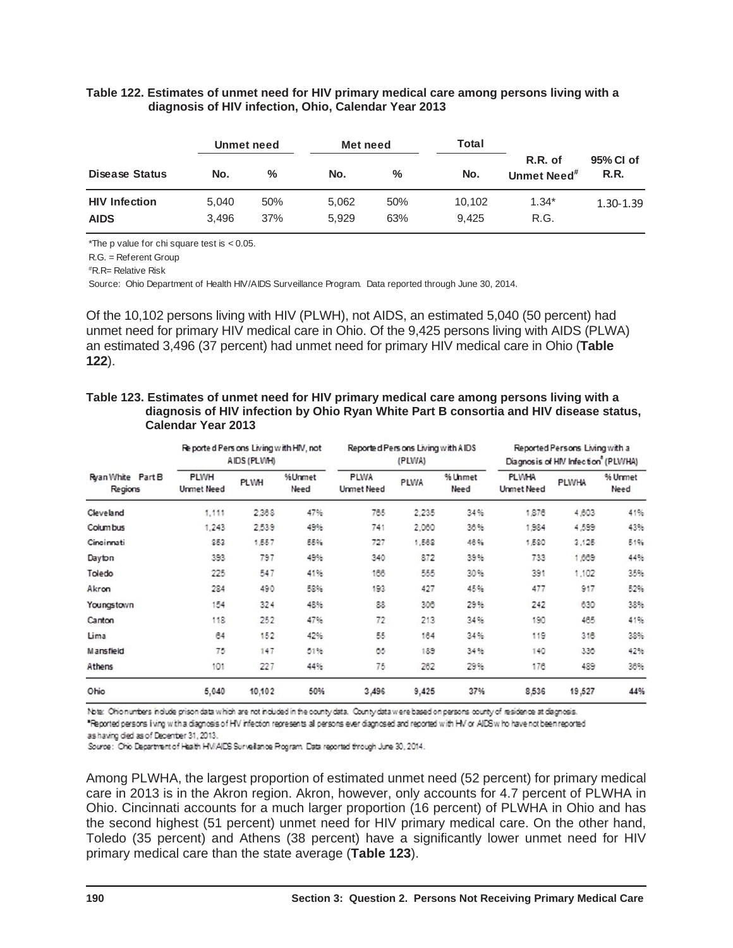#### **Table 122. Estimates of unmet need for HIV primary medical care among persons living with a diagnosis of HIV infection, Ohio, Calendar Year 2013**

|                                     | Unmet need     |            | Met need       |            | Total           |                                    |                   |  |
|-------------------------------------|----------------|------------|----------------|------------|-----------------|------------------------------------|-------------------|--|
| Disease Status                      | No.            | %          | No.            | %          | No.             | R.R. of<br>Unmet Need <sup>#</sup> | 95% CI of<br>R.R. |  |
| <b>HIV Infection</b><br><b>AIDS</b> | 5.040<br>3.496 | 50%<br>37% | 5.062<br>5.929 | 50%<br>63% | 10.102<br>9.425 | $1.34*$<br>R.G.                    | $1.30 - 1.39$     |  |

 $*$ The p value for chi square test is  $< 0.05$ .

R.G. = Referent Group

#R.R= Relative Risk

Source: Ohio Department of Health HIV/AIDS Surveillance Program. Data reported through June 30, 2014.

Of the 10,102 persons living with HIV (PLWH), not AIDS, an estimated 5,040 (50 percent) had unmet need for primary HIV medical care in Ohio. Of the 9,425 persons living with AIDS (PLWA) an estimated 3,496 (37 percent) had unmet need for primary HIV medical care in Ohio (**Table 122**).

#### **Table 123. Estimates of unmet need for HIV primary medical care among persons living with a diagnosis of HIV infection by Ohio Ryan White Part B consortia and HIV disease status, Calendar Year 2013**

|                              | Reported Persons Living with HIV, not<br>AIDS (PLWH) |             |                |                                  | Reported Persons Living with AIDS<br>(PLWA) |                 | Reported Persons Living with a<br>Diagnosis of HIV Infection <sup>®</sup> (PLWHA) |              |                 |
|------------------------------|------------------------------------------------------|-------------|----------------|----------------------------------|---------------------------------------------|-----------------|-----------------------------------------------------------------------------------|--------------|-----------------|
| Ryan White Part B<br>Regions | <b>PLWH</b><br><b>Unmet Need</b>                     | <b>PLWH</b> | %Unmet<br>Need | <b>PLWA</b><br><b>Unmet Need</b> | <b>PLWA</b>                                 | % Unmet<br>Need | <b>PLWHA</b><br><b>Unmet Need</b>                                                 | <b>PLWHA</b> | % Unmet<br>Need |
| Cleveland                    | 1,111                                                | 2,368       | 47%            | 765                              | 2.235                                       | 34%             | 1,876                                                                             | 4,603        | 41%             |
| Colum bus                    | 1,243                                                | 2,539       | 49%            | 741                              | 2,060                                       | 36%             | 1,984                                                                             | 4,599        | 43%             |
| Cincinnati                   | 853                                                  | 1,557       | 55%            | 727                              | 1,568                                       | 46%             | 1,580                                                                             | 3,125        | 51%             |
| Dayton                       | 393                                                  | 797         | 49%            | 340                              | 872                                         | 39%             | 733                                                                               | 1,669        | 44%             |
| Toledo                       | 225                                                  | 547         | 41%            | 166                              | 555                                         | 30%             | 391                                                                               | 1,102        | 35%             |
| Akron                        | 284                                                  | 490         | 58%            | 193                              | 427                                         | 45%             | 477                                                                               | 917          | 52%             |
| Youngstown                   | 154                                                  | 324         | 48%            | 88                               | 306                                         | 29%             | 242                                                                               | 630          | 38%             |
| Canton                       | 118                                                  | 252         | 47%            | 72                               | 213                                         | 34%             | 190                                                                               | 465          | 41%             |
| Lima                         | 64                                                   | 152         | 42%            | 55                               | 164                                         | 34%             | 119                                                                               | 316          | 38%             |
| Mansfield                    | 75                                                   | 147         | 51%            | 65                               | 189                                         | 34%             | 140                                                                               | 336          | 42%             |
| Athens                       | 101                                                  | 227         | 44%            | 75                               | 262                                         | 29%             | 176                                                                               | 489          | 38%             |
| Ohio                         | 5,040                                                | 10,102      | 50%            | 3,496                            | 9,425                                       | 37%             | 8,536                                                                             | 19,527       | 44%             |

Note: Ohio numbers include prison data which are not included in the county data. County data were based on persons county of residence at diagnosis.

\*Reported persons living with a diagnosis of HV infection represents all persons ever diagnosed and reported with HV or AIDS who have not been reported as having died as of December 31, 2013.

Source: Ohio Department of Health HV/AIDS Surveillance Rogram. Data reported through June 30, 2014.

Among PLWHA, the largest proportion of estimated unmet need (52 percent) for primary medical care in 2013 is in the Akron region. Akron, however, only accounts for 4.7 percent of PLWHA in Ohio. Cincinnati accounts for a much larger proportion (16 percent) of PLWHA in Ohio and has the second highest (51 percent) unmet need for HIV primary medical care. On the other hand, Toledo (35 percent) and Athens (38 percent) have a significantly lower unmet need for HIV primary medical care than the state average (**Table 123**).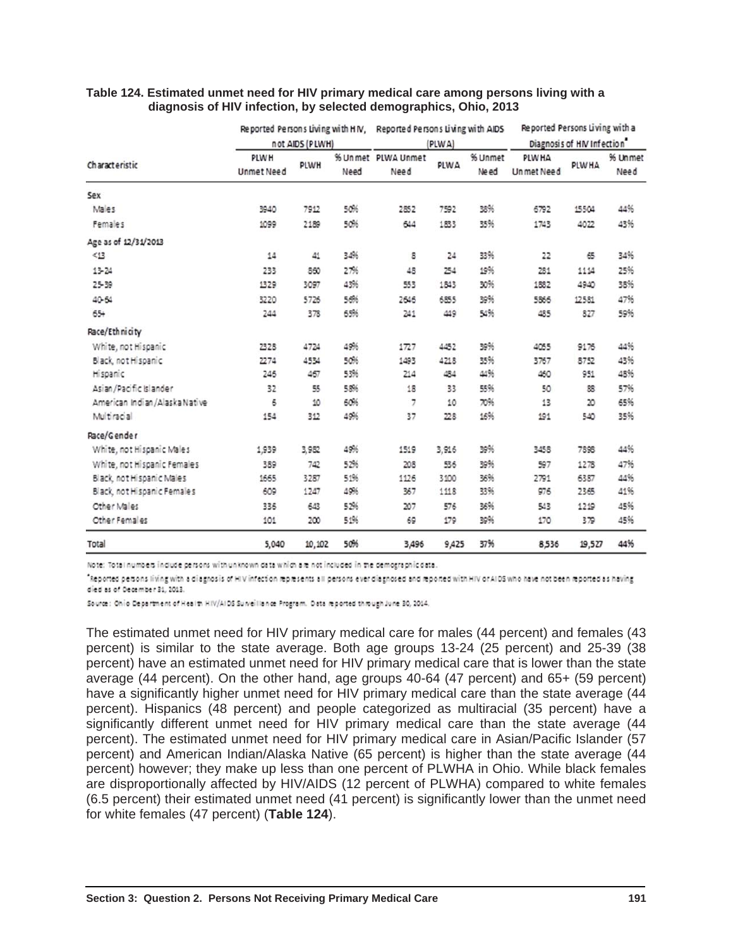|                               | not AIDS (PLWH)           |        |      | Reported Persons Living with HIV, Reported Persons Living with AIDS |                       |                  | Reported Persons Living with a<br>Diagnosis of HIV Infection |               |                 |
|-------------------------------|---------------------------|--------|------|---------------------------------------------------------------------|-----------------------|------------------|--------------------------------------------------------------|---------------|-----------------|
| Characteristic                | <b>PLWH</b><br>Unmet Need | PLWH   | Need | % Unmet PLWA Unmet<br>Need                                          | (PLWA)<br><b>PLWA</b> | % Unmet<br>Ne ed | <b>PLW HA</b><br>Unmet Need                                  | <b>PLW HA</b> | % Unmet<br>Need |
| Sex                           |                           |        |      |                                                                     |                       |                  |                                                              |               |                 |
| Males                         | 3940                      | 7912   | 50%  | 2852                                                                | 7592                  | 38%              | 6792                                                         | 15504         | 44%             |
| Females                       | 1099                      | 2189   | 50%  | 644                                                                 | 1833                  | 35%              | 1743                                                         | 4022          | 43%             |
| Age as of 12/31/2013          |                           |        |      |                                                                     |                       |                  |                                                              |               |                 |
| < 13                          | 14                        | 41     | 34%  | 8                                                                   | 24                    | 3396             | 22                                                           | 65            | 34%             |
| $13 - 24$                     | 233                       | 860    | 27%  | 48                                                                  | 254                   | 10%              | 281                                                          | 1114          | 25%             |
| 25-39                         | 1329                      | 3097   | 43%  | 553                                                                 | 1843                  | 30%              | 1882                                                         | 4940          | 38%             |
| 40-64                         | 3220                      | 5726   | 5.6% | 2646                                                                | 6855                  | 39%              | 5866                                                         | 12581         | 47%             |
| $65+$                         | 244                       | 378    | 65%  | 241                                                                 | 449                   | 54%              | 485                                                          | 827           | 59%             |
| Race/Ethnicity                |                           |        |      |                                                                     |                       |                  |                                                              |               |                 |
| White, not Hispanic           | 2328                      | 4724   | 49%  | 1727                                                                | 4452                  | 39%              | 4055                                                         | 9176          | 44%             |
| Black, not Hispanic           | 2274                      | 4534   | 50%  | 1493                                                                | 4218                  | 3596             | 3767                                                         | 8752          | 43%             |
| Hispanic                      | 246                       | 467    | 53%  | 214                                                                 | 484                   | 44%              | 460                                                          | 951           | 48%             |
| Asian/Pacific Islander        | 32                        | 55     | 58%  | 18                                                                  | 33                    | 55%              | 50                                                           | 88            | 57%             |
| American Indian/Alaska Native | 6                         | 10     | 60%  | $\overline{7}$                                                      | 10                    | 70%              | 13                                                           | 20            | 65%             |
| Multiracial                   | 154                       | 312    | 49%  | 37                                                                  | 228                   | 16%              | 191                                                          | 540           | 35%             |
| Race/Gender                   |                           |        |      |                                                                     |                       |                  |                                                              |               |                 |
| White, not Hispanic Males     | 1,939                     | 3,982  | 49%  | 1519                                                                | 3,916                 | 39%              | 3458                                                         | 7898          | 44%             |
| White, not Hispanic Females   | 389                       | 742    | 52%  | 208                                                                 | 536                   | 39%              | 597                                                          | 1278          | 47%             |
| Black, not Hispanic Males     | 1665                      | 3287   | 51%  | 1126                                                                | 3100                  | 36%              | 2791                                                         | 6387          | 44%             |
| Black, not Hispanic Females   | 609                       | 1247   | 49%  | 367                                                                 | 1118                  | 33%              | 976                                                          | 2365          | 41%             |
| Other Males                   | 336                       | 643    | 52%  | 207                                                                 | 576                   | 36%              | 543                                                          | 1219          | 45%             |
| Other Females                 | 101                       | 200    | 51%  | 69                                                                  | 179                   | 39%              | 170                                                          | 379           | 45%             |
| Total                         | 5,040                     | 10,102 | 50%  | 3,496                                                               | 9,425                 | 37%              | 8,536                                                        | 19,527        | 44%             |

#### **Table 124. Estimated unmet need for HIV primary medical care among persons living with a diagnosis of HIV infection, by selected demographics, Ohio, 2013**

Note: Total numbers include persons with unknown data which are not included in the demographic data.

\*Reported persons living with a diagnosis of HIV infection represents all persons ever diagnosed and reported with HIV or AIDS who have not been reported as having died as of December 31, 2013.

Source: Ohio Department of Health HIV/AIDS Surveillance Program. Data reported through June 30, 2014.

The estimated unmet need for HIV primary medical care for males (44 percent) and females (43 percent) is similar to the state average. Both age groups 13-24 (25 percent) and 25-39 (38 percent) have an estimated unmet need for HIV primary medical care that is lower than the state average (44 percent). On the other hand, age groups 40-64 (47 percent) and 65+ (59 percent) have a significantly higher unmet need for HIV primary medical care than the state average (44 percent). Hispanics (48 percent) and people categorized as multiracial (35 percent) have a significantly different unmet need for HIV primary medical care than the state average (44 percent). The estimated unmet need for HIV primary medical care in Asian/Pacific Islander (57 percent) and American Indian/Alaska Native (65 percent) is higher than the state average (44 percent) however; they make up less than one percent of PLWHA in Ohio. While black females are disproportionally affected by HIV/AIDS (12 percent of PLWHA) compared to white females (6.5 percent) their estimated unmet need (41 percent) is significantly lower than the unmet need for white females (47 percent) (**Table 124**).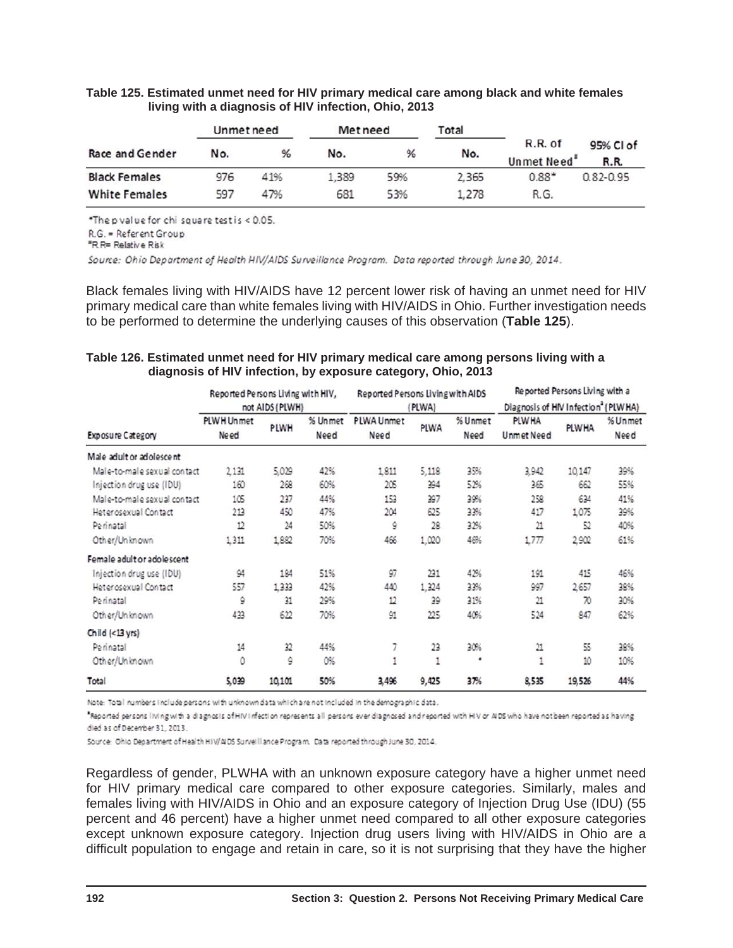|                      | <b>Unmet need</b> |     | Metneed |     | Total |                        |                          |
|----------------------|-------------------|-----|---------|-----|-------|------------------------|--------------------------|
| Race and Gender      | No.               | %   | No.     | %   | No.   | R.R. of<br>Unmet Need* | 95% Cl of<br><b>R.R.</b> |
| <b>Black Females</b> | 976               | 41% | 1,389   | 59% | 2,365 | $0.88*$                | $0.82 - 0.95$            |
| <b>White Females</b> | 597               | 47% | 681     | 53% | 1.278 | R.G.                   |                          |

#### **Table 125. Estimated unmet need for HIV primary medical care among black and white females living with a diagnosis of HIV infection, Ohio, 2013**

\*The p value for chi square test is < 0.05.

R.G. = Referent Group

\*R.R= Relative Risk

Source: Ohio Department of Health HIV/AIDS Surveillance Program. Data reported through June 30, 2014.

Black females living with HIV/AIDS have 12 percent lower risk of having an unmet need for HIV primary medical care than white females living with HIV/AIDS in Ohio. Further investigation needs to be performed to determine the underlying causes of this observation (**Table 125**).

#### **Table 126. Estimated unmet need for HIV primary medical care among persons living with a diagnosis of HIV infection, by exposure category, Ohio, 2013**

| <b>Exposure Category</b>    | Reported Persons Living with HIV,<br>not AIDS (PLWH) |        |     | Reported Persons Living with AIDS<br>(PLWA) |       |     | Reported Persons Living with a<br>Diagnosis of HIV Infection <sup>®</sup> (PLWHA) |        |     |
|-----------------------------|------------------------------------------------------|--------|-----|---------------------------------------------|-------|-----|-----------------------------------------------------------------------------------|--------|-----|
|                             |                                                      |        |     |                                             |       |     |                                                                                   |        |     |
|                             | Male adult or adolescent                             |        |     |                                             |       |     |                                                                                   |        |     |
| Male-to-male sexual contact | 2,131                                                | 5,029  | 42% | 1,811                                       | 5,118 | 35% | 3,942                                                                             | 10,147 | 39% |
| Injection drug use (IDU)    | 160                                                  | 268    | 60% | 205                                         | 394   | 52% | 365                                                                               | 662    | 55% |
| Male-to-male sexual contact | 105                                                  | 237    | 44% | 153                                         | 397   | 39% | 258                                                                               | 634    | 41% |
| Heterosexual Contact        | 213                                                  | 450    | 47% | 204                                         | 625   | 33% | 417                                                                               | 1.075  | 39% |
| Perinatal                   | 12                                                   | 24     | 50% | ĝ                                           | 28    | 32% | $^{21}$                                                                           | 52     | 40% |
| Other/Unknown               | 1,311                                                | 1,882  | 70% | 466                                         | 1,020 | 46% | 1,777                                                                             | 2,902  | 61% |
| Female adult or adolescent  |                                                      |        |     |                                             |       |     |                                                                                   |        |     |
| Injection drug use (IDU)    | $^{64}$                                              | 184    | 51% | 97                                          | 231   | 42% | 191                                                                               | 415    | 46% |
| Heterosexual Contact        | 557                                                  | 1,333  | 42% | 440                                         | 1,324 | 33% | 997                                                                               | 2,657  | 38% |
| Perinatal                   | 9                                                    | 31     | 29% | 12                                          | 39    | 31% | 21                                                                                | 70     | 30% |
| Other/Unknown               | 433                                                  | 622    | 70% | 91                                          | 225   | 40% | 524                                                                               | 847    | 62% |
| Child $(<13$ yrs)           |                                                      |        |     |                                             |       |     |                                                                                   |        |     |
| Perinatal                   | 14                                                   | 32     | 44% | 7                                           | 23    | 30% | 21                                                                                | 55     | 38% |
| Other/Unknown               | 0                                                    | 9      | 0%  | 1                                           | 1     | ٠   | 1                                                                                 | 10     | 10% |
| Total                       | 5,039                                                | 10,101 | 50% | 3,496                                       | 9,425 | 37% | 8,535                                                                             | 19,526 | 44% |

Note: Total numbers include persons with unknown data which are not included in the demographic data.

"Reported persons living with a diagnosis of HIV infection represents all persons ever diagnosed and reported with HIV or AIDS who have not been reported as having died as of December 31, 2013.

Source: Ohio Department of Health HIV/AIDS Surveillance Program. Data reported through June 30, 2014.

Regardless of gender, PLWHA with an unknown exposure category have a higher unmet need for HIV primary medical care compared to other exposure categories. Similarly, males and females living with HIV/AIDS in Ohio and an exposure category of Injection Drug Use (IDU) (55 percent and 46 percent) have a higher unmet need compared to all other exposure categories except unknown exposure category. Injection drug users living with HIV/AIDS in Ohio are a difficult population to engage and retain in care, so it is not surprising that they have the higher